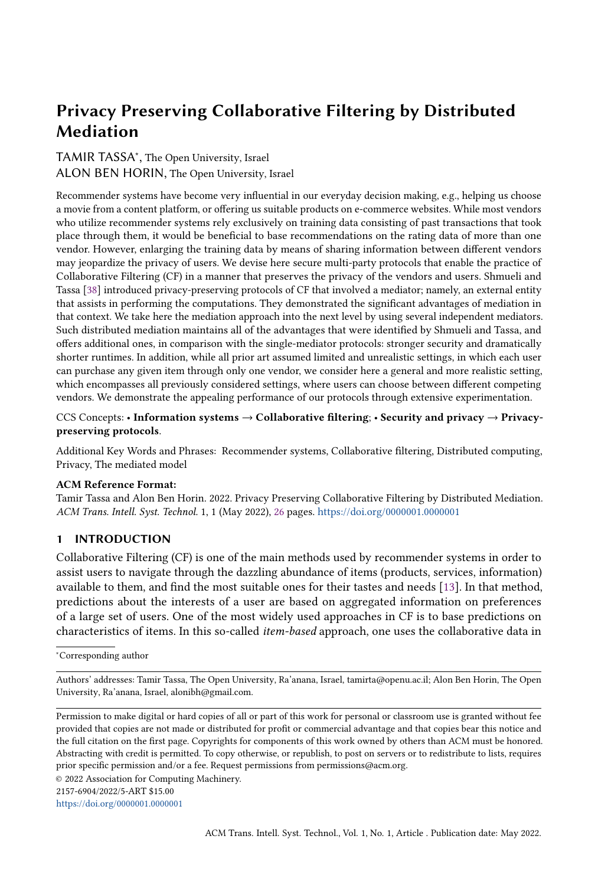## TAMIR TASSA<sup>\*</sup>, The Open University, Israel ALON BEN HORIN, The Open University, Israel

Recommender systems have become very influential in our everyday decision making, e.g., helping us choose a movie from a content platform, or offering us suitable products on e-commerce websites. While most vendors who utilize recommender systems rely exclusively on training data consisting of past transactions that took place through them, it would be beneficial to base recommendations on the rating data of more than one vendor. However, enlarging the training data by means of sharing information between different vendors may jeopardize the privacy of users. We devise here secure multi-party protocols that enable the practice of Collaborative Filtering (CF) in a manner that preserves the privacy of the vendors and users. Shmueli and Tassa [\[38\]](#page-24-0) introduced privacy-preserving protocols of CF that involved a mediator; namely, an external entity that assists in performing the computations. They demonstrated the significant advantages of mediation in that context. We take here the mediation approach into the next level by using several independent mediators. Such distributed mediation maintains all of the advantages that were identified by Shmueli and Tassa, and offers additional ones, in comparison with the single-mediator protocols: stronger security and dramatically shorter runtimes. In addition, while all prior art assumed limited and unrealistic settings, in which each user can purchase any given item through only one vendor, we consider here a general and more realistic setting, which encompasses all previously considered settings, where users can choose between different competing vendors. We demonstrate the appealing performance of our protocols through extensive experimentation.

## CCS Concepts: • Information systems  $\rightarrow$  Collaborative filtering; • Security and privacy  $\rightarrow$  Privacypreserving protocols.

Additional Key Words and Phrases: Recommender systems, Collaborative filtering, Distributed computing, Privacy, The mediated model

### ACM Reference Format:

Tamir Tassa and Alon Ben Horin. 2022. Privacy Preserving Collaborative Filtering by Distributed Mediation. ACM Trans. Intell. Syst. Technol. 1, 1 (May 2022), [26](#page-25-0) pages. <https://doi.org/0000001.0000001>

## 1 INTRODUCTION

Collaborative Filtering (CF) is one of the main methods used by recommender systems in order to assist users to navigate through the dazzling abundance of items (products, services, information) available to them, and find the most suitable ones for their tastes and needs [\[13\]](#page-23-0). In that method, predictions about the interests of a user are based on aggregated information on preferences of a large set of users. One of the most widely used approaches in CF is to base predictions on characteristics of items. In this so-called item-based approach, one uses the collaborative data in

<sup>∗</sup>Corresponding author

Authors' addresses: Tamir Tassa, The Open University, Ra'anana, Israel, tamirta@openu.ac.il; Alon Ben Horin, The Open University, Ra'anana, Israel, alonibh@gmail.com.

Permission to make digital or hard copies of all or part of this work for personal or classroom use is granted without fee provided that copies are not made or distributed for profit or commercial advantage and that copies bear this notice and the full citation on the first page. Copyrights for components of this work owned by others than ACM must be honored. Abstracting with credit is permitted. To copy otherwise, or republish, to post on servers or to redistribute to lists, requires prior specific permission and/or a fee. Request permissions from permissions@acm.org.

<sup>©</sup> 2022 Association for Computing Machinery.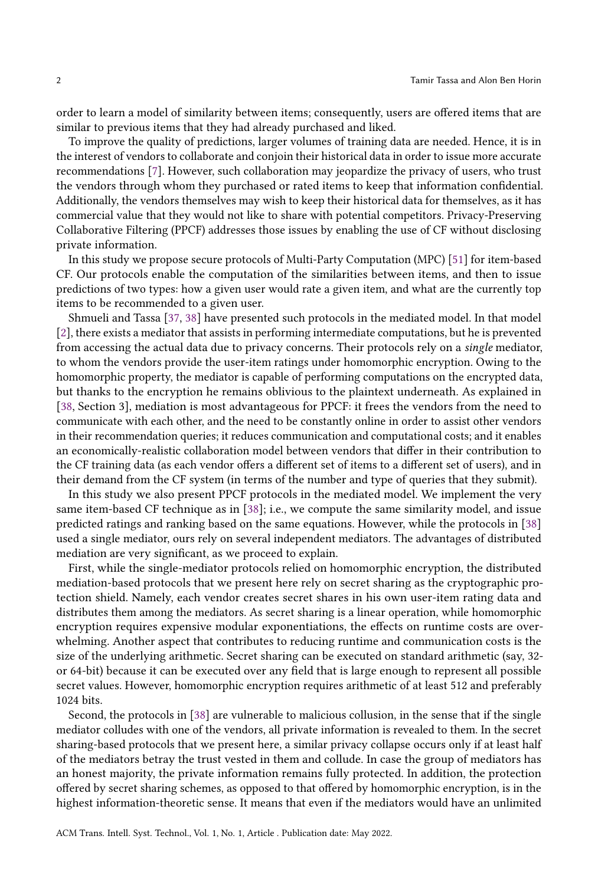order to learn a model of similarity between items; consequently, users are offered items that are similar to previous items that they had already purchased and liked.

To improve the quality of predictions, larger volumes of training data are needed. Hence, it is in the interest of vendors to collaborate and conjoin their historical data in order to issue more accurate recommendations [\[7\]](#page-23-1). However, such collaboration may jeopardize the privacy of users, who trust the vendors through whom they purchased or rated items to keep that information confidential. Additionally, the vendors themselves may wish to keep their historical data for themselves, as it has commercial value that they would not like to share with potential competitors. Privacy-Preserving Collaborative Filtering (PPCF) addresses those issues by enabling the use of CF without disclosing private information.

In this study we propose secure protocols of Multi-Party Computation (MPC) [\[51\]](#page-24-1) for item-based CF. Our protocols enable the computation of the similarities between items, and then to issue predictions of two types: how a given user would rate a given item, and what are the currently top items to be recommended to a given user.

Shmueli and Tassa [\[37,](#page-24-2) [38\]](#page-24-0) have presented such protocols in the mediated model. In that model [\[2\]](#page-23-2), there exists a mediator that assists in performing intermediate computations, but he is prevented from accessing the actual data due to privacy concerns. Their protocols rely on a single mediator, to whom the vendors provide the user-item ratings under homomorphic encryption. Owing to the homomorphic property, the mediator is capable of performing computations on the encrypted data, but thanks to the encryption he remains oblivious to the plaintext underneath. As explained in [\[38,](#page-24-0) Section 3], mediation is most advantageous for PPCF: it frees the vendors from the need to communicate with each other, and the need to be constantly online in order to assist other vendors in their recommendation queries; it reduces communication and computational costs; and it enables an economically-realistic collaboration model between vendors that differ in their contribution to the CF training data (as each vendor offers a different set of items to a different set of users), and in their demand from the CF system (in terms of the number and type of queries that they submit).

In this study we also present PPCF protocols in the mediated model. We implement the very same item-based CF technique as in [\[38\]](#page-24-0); i.e., we compute the same similarity model, and issue predicted ratings and ranking based on the same equations. However, while the protocols in [\[38\]](#page-24-0) used a single mediator, ours rely on several independent mediators. The advantages of distributed mediation are very significant, as we proceed to explain.

First, while the single-mediator protocols relied on homomorphic encryption, the distributed mediation-based protocols that we present here rely on secret sharing as the cryptographic protection shield. Namely, each vendor creates secret shares in his own user-item rating data and distributes them among the mediators. As secret sharing is a linear operation, while homomorphic encryption requires expensive modular exponentiations, the effects on runtime costs are overwhelming. Another aspect that contributes to reducing runtime and communication costs is the size of the underlying arithmetic. Secret sharing can be executed on standard arithmetic (say, 32 or 64-bit) because it can be executed over any field that is large enough to represent all possible secret values. However, homomorphic encryption requires arithmetic of at least 512 and preferably 1024 bits.

Second, the protocols in [\[38\]](#page-24-0) are vulnerable to malicious collusion, in the sense that if the single mediator colludes with one of the vendors, all private information is revealed to them. In the secret sharing-based protocols that we present here, a similar privacy collapse occurs only if at least half of the mediators betray the trust vested in them and collude. In case the group of mediators has an honest majority, the private information remains fully protected. In addition, the protection offered by secret sharing schemes, as opposed to that offered by homomorphic encryption, is in the highest information-theoretic sense. It means that even if the mediators would have an unlimited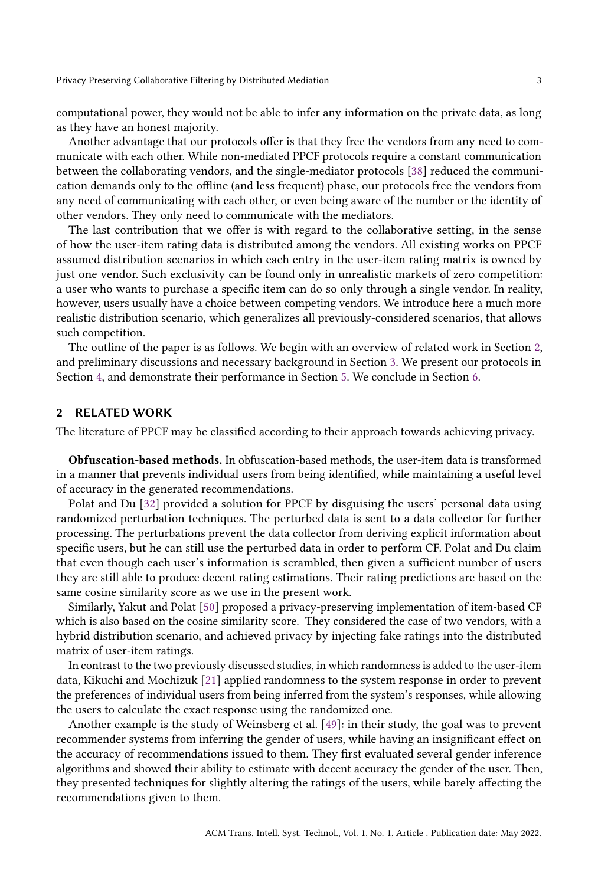computational power, they would not be able to infer any information on the private data, as long as they have an honest majority.

Another advantage that our protocols offer is that they free the vendors from any need to communicate with each other. While non-mediated PPCF protocols require a constant communication between the collaborating vendors, and the single-mediator protocols [\[38\]](#page-24-0) reduced the communication demands only to the offline (and less frequent) phase, our protocols free the vendors from any need of communicating with each other, or even being aware of the number or the identity of other vendors. They only need to communicate with the mediators.

The last contribution that we offer is with regard to the collaborative setting, in the sense of how the user-item rating data is distributed among the vendors. All existing works on PPCF assumed distribution scenarios in which each entry in the user-item rating matrix is owned by just one vendor. Such exclusivity can be found only in unrealistic markets of zero competition: a user who wants to purchase a specific item can do so only through a single vendor. In reality, however, users usually have a choice between competing vendors. We introduce here a much more realistic distribution scenario, which generalizes all previously-considered scenarios, that allows such competition.

The outline of the paper is as follows. We begin with an overview of related work in Section [2,](#page-2-0) and preliminary discussions and necessary background in Section [3.](#page-4-0) We present our protocols in Section [4,](#page-7-0) and demonstrate their performance in Section [5.](#page-16-0) We conclude in Section [6.](#page-22-0)

#### <span id="page-2-0"></span>2 RELATED WORK

The literature of PPCF may be classified according to their approach towards achieving privacy.

Obfuscation-based methods. In obfuscation-based methods, the user-item data is transformed in a manner that prevents individual users from being identified, while maintaining a useful level of accuracy in the generated recommendations.

Polat and Du [\[32\]](#page-24-3) provided a solution for PPCF by disguising the users' personal data using randomized perturbation techniques. The perturbed data is sent to a data collector for further processing. The perturbations prevent the data collector from deriving explicit information about specific users, but he can still use the perturbed data in order to perform CF. Polat and Du claim that even though each user's information is scrambled, then given a sufficient number of users they are still able to produce decent rating estimations. Their rating predictions are based on the same cosine similarity score as we use in the present work.

Similarly, Yakut and Polat [\[50\]](#page-24-4) proposed a privacy-preserving implementation of item-based CF which is also based on the cosine similarity score. They considered the case of two vendors, with a hybrid distribution scenario, and achieved privacy by injecting fake ratings into the distributed matrix of user-item ratings.

In contrast to the two previously discussed studies, in which randomness is added to the user-item data, Kikuchi and Mochizuk [\[21\]](#page-23-3) applied randomness to the system response in order to prevent the preferences of individual users from being inferred from the system's responses, while allowing the users to calculate the exact response using the randomized one.

Another example is the study of Weinsberg et al. [\[49\]](#page-24-5): in their study, the goal was to prevent recommender systems from inferring the gender of users, while having an insignificant effect on the accuracy of recommendations issued to them. They first evaluated several gender inference algorithms and showed their ability to estimate with decent accuracy the gender of the user. Then, they presented techniques for slightly altering the ratings of the users, while barely affecting the recommendations given to them.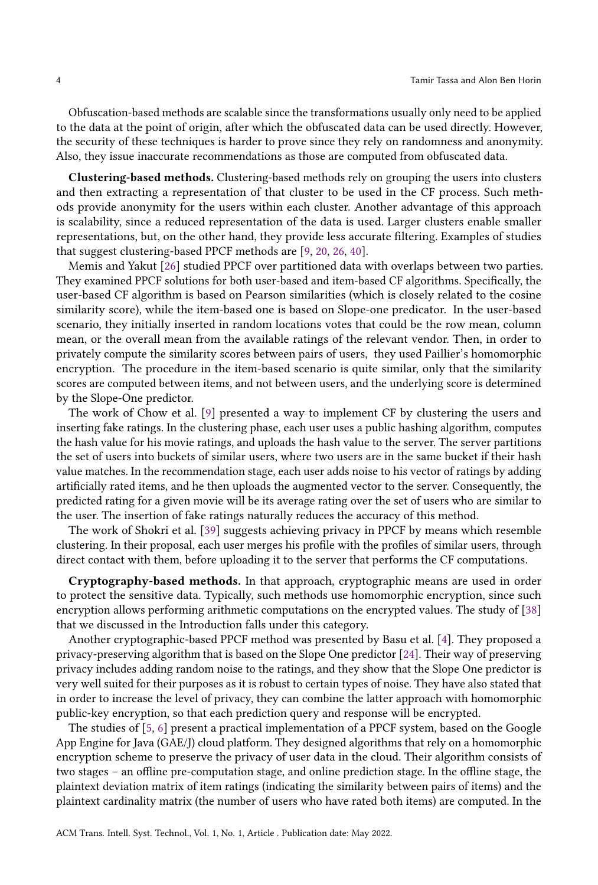Obfuscation-based methods are scalable since the transformations usually only need to be applied to the data at the point of origin, after which the obfuscated data can be used directly. However, the security of these techniques is harder to prove since they rely on randomness and anonymity. Also, they issue inaccurate recommendations as those are computed from obfuscated data.

Clustering-based methods. Clustering-based methods rely on grouping the users into clusters and then extracting a representation of that cluster to be used in the CF process. Such methods provide anonymity for the users within each cluster. Another advantage of this approach is scalability, since a reduced representation of the data is used. Larger clusters enable smaller representations, but, on the other hand, they provide less accurate filtering. Examples of studies that suggest clustering-based PPCF methods are [\[9,](#page-23-4) [20,](#page-23-5) [26,](#page-24-6) [40\]](#page-24-7).

Memis and Yakut [\[26\]](#page-24-6) studied PPCF over partitioned data with overlaps between two parties. They examined PPCF solutions for both user-based and item-based CF algorithms. Specifically, the user-based CF algorithm is based on Pearson similarities (which is closely related to the cosine similarity score), while the item-based one is based on Slope-one predicator. In the user-based scenario, they initially inserted in random locations votes that could be the row mean, column mean, or the overall mean from the available ratings of the relevant vendor. Then, in order to privately compute the similarity scores between pairs of users, they used Paillier's homomorphic encryption. The procedure in the item-based scenario is quite similar, only that the similarity scores are computed between items, and not between users, and the underlying score is determined by the Slope-One predictor.

The work of Chow et al. [\[9\]](#page-23-4) presented a way to implement CF by clustering the users and inserting fake ratings. In the clustering phase, each user uses a public hashing algorithm, computes the hash value for his movie ratings, and uploads the hash value to the server. The server partitions the set of users into buckets of similar users, where two users are in the same bucket if their hash value matches. In the recommendation stage, each user adds noise to his vector of ratings by adding artificially rated items, and he then uploads the augmented vector to the server. Consequently, the predicted rating for a given movie will be its average rating over the set of users who are similar to the user. The insertion of fake ratings naturally reduces the accuracy of this method.

The work of Shokri et al. [\[39\]](#page-24-8) suggests achieving privacy in PPCF by means which resemble clustering. In their proposal, each user merges his profile with the profiles of similar users, through direct contact with them, before uploading it to the server that performs the CF computations.

Cryptography-based methods. In that approach, cryptographic means are used in order to protect the sensitive data. Typically, such methods use homomorphic encryption, since such encryption allows performing arithmetic computations on the encrypted values. The study of [\[38\]](#page-24-0) that we discussed in the Introduction falls under this category.

Another cryptographic-based PPCF method was presented by Basu et al. [\[4\]](#page-23-6). They proposed a privacy-preserving algorithm that is based on the Slope One predictor [\[24\]](#page-23-7). Their way of preserving privacy includes adding random noise to the ratings, and they show that the Slope One predictor is very well suited for their purposes as it is robust to certain types of noise. They have also stated that in order to increase the level of privacy, they can combine the latter approach with homomorphic public-key encryption, so that each prediction query and response will be encrypted.

The studies of [\[5,](#page-23-8) [6\]](#page-23-9) present a practical implementation of a PPCF system, based on the Google App Engine for Java (GAE/J) cloud platform. They designed algorithms that rely on a homomorphic encryption scheme to preserve the privacy of user data in the cloud. Their algorithm consists of two stages – an offline pre-computation stage, and online prediction stage. In the offline stage, the plaintext deviation matrix of item ratings (indicating the similarity between pairs of items) and the plaintext cardinality matrix (the number of users who have rated both items) are computed. In the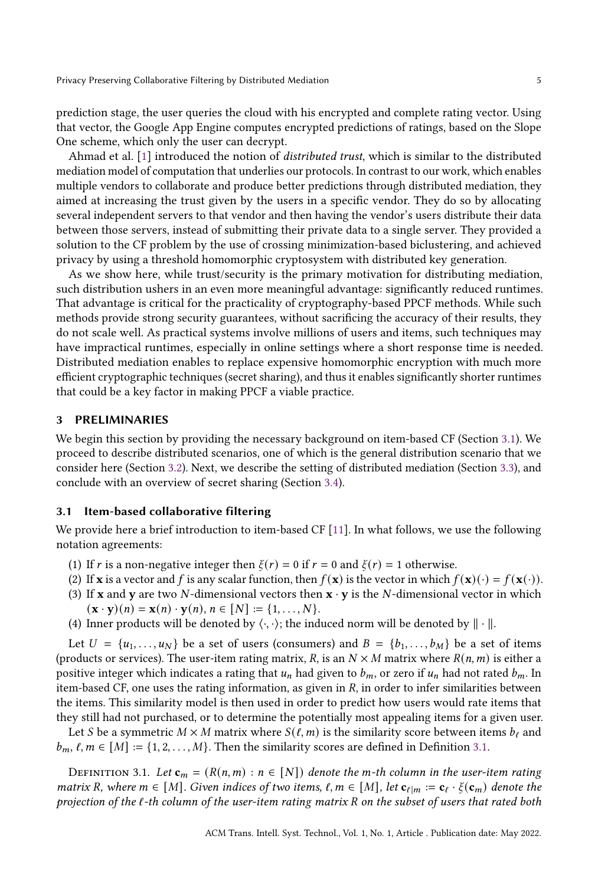prediction stage, the user queries the cloud with his encrypted and complete rating vector. Using that vector, the Google App Engine computes encrypted predictions of ratings, based on the Slope One scheme, which only the user can decrypt.

Ahmad et al. [\[1\]](#page-23-10) introduced the notion of distributed trust, which is similar to the distributed mediation model of computation that underlies our protocols. In contrast to our work, which enables multiple vendors to collaborate and produce better predictions through distributed mediation, they aimed at increasing the trust given by the users in a specific vendor. They do so by allocating several independent servers to that vendor and then having the vendor's users distribute their data between those servers, instead of submitting their private data to a single server. They provided a solution to the CF problem by the use of crossing minimization-based biclustering, and achieved privacy by using a threshold homomorphic cryptosystem with distributed key generation.

As we show here, while trust/security is the primary motivation for distributing mediation, such distribution ushers in an even more meaningful advantage: significantly reduced runtimes. That advantage is critical for the practicality of cryptography-based PPCF methods. While such methods provide strong security guarantees, without sacrificing the accuracy of their results, they do not scale well. As practical systems involve millions of users and items, such techniques may have impractical runtimes, especially in online settings where a short response time is needed. Distributed mediation enables to replace expensive homomorphic encryption with much more efficient cryptographic techniques (secret sharing), and thus it enables significantly shorter runtimes that could be a key factor in making PPCF a viable practice.

#### <span id="page-4-0"></span>3 PRELIMINARIES

We begin this section by providing the necessary background on item-based CF (Section [3.1\)](#page-4-1). We proceed to describe distributed scenarios, one of which is the general distribution scenario that we consider here (Section [3.2\)](#page-5-0). Next, we describe the setting of distributed mediation (Section [3.3\)](#page-6-0), and conclude with an overview of secret sharing (Section [3.4\)](#page-6-1).

### <span id="page-4-1"></span>3.1 Item-based collaborative filtering

We provide here a brief introduction to item-based CF [\[11\]](#page-23-11). In what follows, we use the following notation agreements:

- (1) If r is a non-negative integer then  $\xi(r) = 0$  if  $r = 0$  and  $\xi(r) = 1$  otherwise.
- (2) If **x** is a vector and f is any scalar function, then  $f(\mathbf{x})$  is the vector in which  $f(\mathbf{x}) (\cdot) = f(\mathbf{x}(\cdot))$ .
- (3) If **x** and **y** are two N-dimensional vectors then  $\mathbf{x} \cdot \mathbf{y}$  is the N-dimensional vector in which  $({\bf x} \cdot {\bf y})(n) = {\bf x}(n) \cdot {\bf y}(n), n \in [N] := \{1, ..., N\}.$
- (4) Inner products will be denoted by  $\langle \cdot, \cdot \rangle$ ; the induced norm will be denoted by  $\|\cdot\|$ .

Let  $U = \{u_1, \ldots, u_N\}$  be a set of users (consumers) and  $B = \{b_1, \ldots, b_M\}$  be a set of items (products or services). The user-item rating matrix, R, is an  $N \times M$  matrix where  $R(n, m)$  is either a positive integer which indicates a rating that  $u_n$  had given to  $b_m$ , or zero if  $u_n$  had not rated  $b_m$ . In item-based CF, one uses the rating information, as given in  $R$ , in order to infer similarities between the items. This similarity model is then used in order to predict how users would rate items that they still had not purchased, or to determine the potentially most appealing items for a given user.

Let S be a symmetric  $M \times M$  matrix where  $S(\ell,m)$  is the similarity score between items  $b_{\ell}$  and  $b_m, \ell, m \in [M] := \{1, 2, \ldots, M\}$ . Then the similarity scores are defined in Definition [3.1.](#page-4-2)

<span id="page-4-2"></span>DEFINITION 3.1. Let  $\mathbf{c}_m = (R(n,m) : n \in [N])$  denote the m-th column in the user-item rating matrix R, where  $m \in [M]$ . Given indices of two items,  $\ell, m \in [M]$ , let  $c_{\ell|m} := c_{\ell} \cdot \xi(c_m)$  denote the projection of the  $l$ -th column of the user-item rating matrix  $R$  on the subset of users that rated both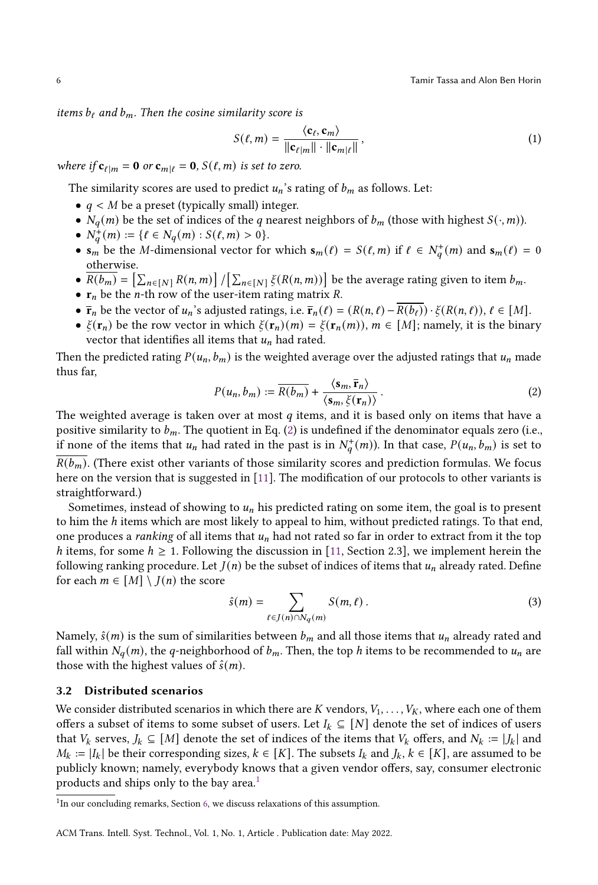6 Tamir Tassa and Alon Ben Horin

items  $b_{\ell}$  and  $b_m$ . Then the cosine similarity score is

<span id="page-5-3"></span>
$$
S(\ell, m) = \frac{\langle \mathbf{c}_{\ell}, \mathbf{c}_{m} \rangle}{\|\mathbf{c}_{\ell |m}\| \cdot \|\mathbf{c}_{m|\ell}\|},
$$
\n(1)

where if  ${\bf c}_{\ell|m} = {\bf 0}$  or  ${\bf c}_{m|\ell} = {\bf 0}$ ,  $S(\ell,m)$  is set to zero.

The similarity scores are used to predict  $u_n$ 's rating of  $b_m$  as follows. Let:

- $q < M$  be a preset (typically small) integer.
- $N_q(m)$  be the set of indices of the q nearest neighbors of  $b_m$  (those with highest  $S(\cdot,m)$ ).
- $N_q^+(m) := \{ \ell \in N_q(m) : S(\ell, m) > 0 \}.$
- $s_m$  be the M-dimensional vector for which  $s_m(\ell) = S(\ell,m)$  if  $\ell \in N^+_q(m)$  and  $s_m(\ell) = 0$ otherwise.
- $\overline{R(b_m)} = \left[\sum_{n \in [N]} R(n, m)\right] / \left[\sum_{n \in [N]} \xi(R(n, m))\right]$  be the average rating given to item  $b_m$ .
- $r_n$  be the *n*-th row of the user-item rating matrix *R*.
- $\bar{\mathbf{r}}_n$  be the vector of  $u_n$ 's adjusted ratings, i.e.  $\bar{\mathbf{r}}_n(\ell) = (R(n,\ell) R(b_\ell)) \cdot \xi(R(n,\ell)), \ell \in [M].$
- $\xi(\mathbf{r}_n)$  be the row vector in which  $\xi(\mathbf{r}_n)(m) = \xi(\mathbf{r}_n(m)), m \in [M]$ ; namely, it is the binary vector that identifies all items that  $u_n$  had rated.

Then the predicted rating  $P(u_n, b_m)$  is the weighted average over the adjusted ratings that  $u_n$  made thus far,

<span id="page-5-1"></span>
$$
P(u_n, b_m) := \overline{R(b_m)} + \frac{\langle \mathbf{s}_m, \overline{\mathbf{r}}_n \rangle}{\langle \mathbf{s}_m, \xi(\mathbf{r}_n) \rangle}.
$$
 (2)

The weighted average is taken over at most  $q$  items, and it is based only on items that have a positive similarity to  $b_m$ . The quotient in Eq. [\(2\)](#page-5-1) is undefined if the denominator equals zero (i.e., if none of the items that  $u_n$  had rated in the past is in  $N_q^+(m)$ ). In that case,  $P(u_n, b_m)$  is set to  $R(b_m)$ . (There exist other variants of those similarity scores and prediction formulas. We focus here on the version that is suggested in [\[11\]](#page-23-11). The modification of our protocols to other variants is straightforward.)

Sometimes, instead of showing to  $u_n$  his predicted rating on some item, the goal is to present to him the *h* items which are most likely to appeal to him, without predicted ratings. To that end, one produces a *ranking* of all items that  $u_n$  had not rated so far in order to extract from it the top h items, for some  $h \geq 1$ . Following the discussion in [\[11,](#page-23-11) Section 2.3], we implement herein the following ranking procedure. Let  $J(n)$  be the subset of indices of items that  $u_n$  already rated. Define for each  $m \in [M] \setminus J(n)$  the score

<span id="page-5-4"></span>
$$
\hat{s}(m) = \sum_{\ell \in J(n) \cap N_q(m)} S(m, \ell).
$$
 (3)

Namely,  $\hat{s}(m)$  is the sum of similarities between  $b_m$  and all those items that  $u_n$  already rated and fall within  $N_q(m)$ , the q-neighborhood of  $b_m$ . Then, the top h items to be recommended to  $u_n$  are those with the highest values of  $\hat{s}(m)$ .

#### <span id="page-5-0"></span>3.2 Distributed scenarios

We consider distributed scenarios in which there are K vendors,  $V_1, \ldots, V_K$ , where each one of them offers a subset of items to some subset of users. Let  $I_k \subseteq [N]$  denote the set of indices of users that  $V_k$  serves,  $J_k \subseteq [M]$  denote the set of indices of the items that  $V_k$  offers, and  $N_k := |J_k|$  and  $M_k := |I_k|$  be their corresponding sizes,  $k \in [K]$ . The subsets  $I_k$  and  $J_k$ ,  $k \in [K]$ , are assumed to be publicly known; namely, everybody knows that a given vendor offers, say, consumer electronic products and ships only to the bay area.<sup>[1](#page-5-2)</sup>

<span id="page-5-2"></span><sup>&</sup>lt;sup>1</sup>In our concluding remarks, Section [6,](#page-22-0) we discuss relaxations of this assumption.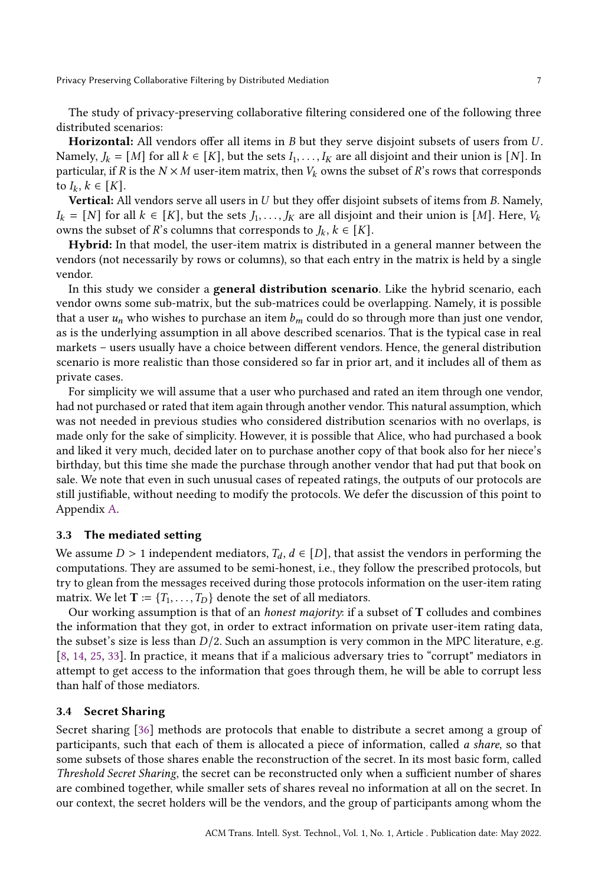The study of privacy-preserving collaborative filtering considered one of the following three distributed scenarios:

Horizontal: All vendors offer all items in  $B$  but they serve disjoint subsets of users from  $U$ . Namely,  $J_k = [M]$  for all  $k \in [K]$ , but the sets  $I_1, \ldots, I_K$  are all disjoint and their union is [N]. In particular, if R is the  $N \times M$  user-item matrix, then  $V_k$  owns the subset of R's rows that corresponds to  $I_k, k \in [K]$ .

Vertical: All vendors serve all users in  $U$  but they offer disjoint subsets of items from  $B$ . Namely,  $I_k = [N]$  for all  $k \in [K]$ , but the sets  $J_1, \ldots, J_K$  are all disjoint and their union is  $[M]$ . Here,  $V_k$ owns the subset of *R*'s columns that corresponds to  $J_k$ ,  $k \in [K]$ .

Hybrid: In that model, the user-item matrix is distributed in a general manner between the vendors (not necessarily by rows or columns), so that each entry in the matrix is held by a single vendor.

In this study we consider a **general distribution scenario**. Like the hybrid scenario, each vendor owns some sub-matrix, but the sub-matrices could be overlapping. Namely, it is possible that a user  $u_n$  who wishes to purchase an item  $b_m$  could do so through more than just one vendor, as is the underlying assumption in all above described scenarios. That is the typical case in real markets – users usually have a choice between different vendors. Hence, the general distribution scenario is more realistic than those considered so far in prior art, and it includes all of them as private cases.

For simplicity we will assume that a user who purchased and rated an item through one vendor, had not purchased or rated that item again through another vendor. This natural assumption, which was not needed in previous studies who considered distribution scenarios with no overlaps, is made only for the sake of simplicity. However, it is possible that Alice, who had purchased a book and liked it very much, decided later on to purchase another copy of that book also for her niece's birthday, but this time she made the purchase through another vendor that had put that book on sale. We note that even in such unusual cases of repeated ratings, the outputs of our protocols are still justifiable, without needing to modify the protocols. We defer the discussion of this point to Appendix [A.](#page-25-1)

## <span id="page-6-0"></span>3.3 The mediated setting

We assume  $D > 1$  independent mediators,  $T_d$ ,  $d \in [D]$ , that assist the vendors in performing the computations. They are assumed to be semi-honest, i.e., they follow the prescribed protocols, but try to glean from the messages received during those protocols information on the user-item rating matrix. We let  $\mathbf{T} := \{T_1, \ldots, T_D\}$  denote the set of all mediators.

Our working assumption is that of an *honest majority*: if a subset of  $T$  colludes and combines the information that they got, in order to extract information on private user-item rating data, the subset's size is less than  $D/2$ . Such an assumption is very common in the MPC literature, e.g. [\[8,](#page-23-12) [14,](#page-23-13) [25,](#page-23-14) [33\]](#page-24-9). In practice, it means that if a malicious adversary tries to "corrupt" mediators in attempt to get access to the information that goes through them, he will be able to corrupt less than half of those mediators.

#### <span id="page-6-1"></span>3.4 Secret Sharing

Secret sharing [\[36\]](#page-24-10) methods are protocols that enable to distribute a secret among a group of participants, such that each of them is allocated a piece of information, called a share, so that some subsets of those shares enable the reconstruction of the secret. In its most basic form, called Threshold Secret Sharing, the secret can be reconstructed only when a sufficient number of shares are combined together, while smaller sets of shares reveal no information at all on the secret. In our context, the secret holders will be the vendors, and the group of participants among whom the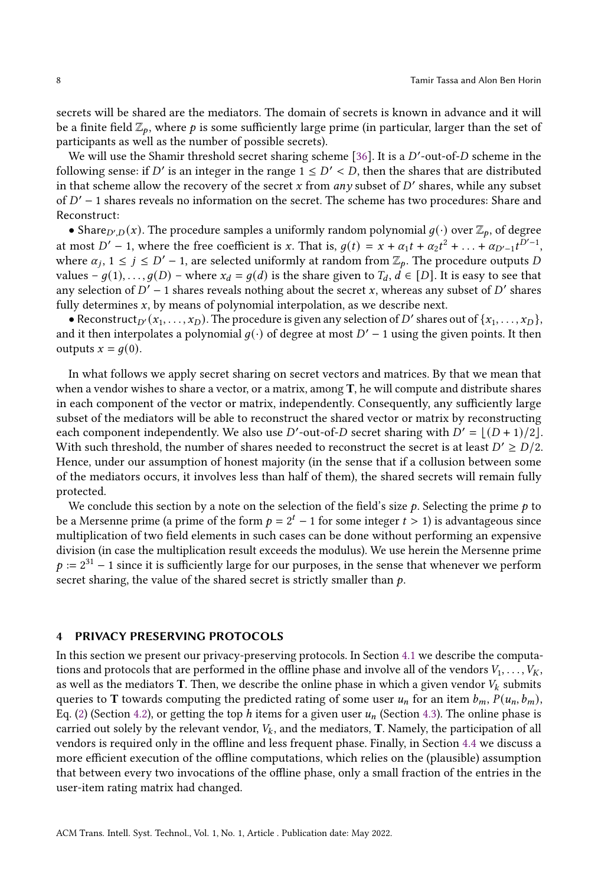secrets will be shared are the mediators. The domain of secrets is known in advance and it will be a finite field  $\mathbb{Z}_p$ , where p is some sufficiently large prime (in particular, larger than the set of participants as well as the number of possible secrets).

We will use the Shamir threshold secret sharing scheme  $[36]$ . It is a  $D'$ -out-of-D scheme in the following sense: if D' is an integer in the range  $1 \le D' < D$ , then the shares that are distributed in that scheme allow the recovery of the secret  $x$  from any subset of  $D'$  shares, while any subset of  $D' - 1$  shares reveals no information on the secret. The scheme has two procedures: Share and Reconstruct:

• Share<sub>D',D</sub>(x). The procedure samples a uniformly random polynomial  $g(\cdot)$  over  $\mathbb{Z}_p$ , of degree at most  $D' - 1$ , where the free coefficient is x. That is,  $g(t) = x + \alpha_1 t + \alpha_2 t^2 + \ldots + \alpha_{D'-1} t^{D'-1}$ , where  $\alpha_i$ ,  $1 \le j \le D' - 1$ , are selected uniformly at random from  $\mathbb{Z}_p$ . The procedure outputs D values –  $q(1), \ldots, q(D)$  – where  $x_d = q(d)$  is the share given to  $T_d$ ,  $d \in [D]$ . It is easy to see that any selection of  $D' - 1$  shares reveals nothing about the secret x, whereas any subset of D' shares fully determines  $x$ , by means of polynomial interpolation, as we describe next.

• Reconstruct<sub>D'</sub>  $(x_1, ..., x_D)$ . The procedure is given any selection of D' shares out of  $\{x_1, ..., x_D\}$ , and it then interpolates a polynomial  $q(\cdot)$  of degree at most  $D'-1$  using the given points. It then outputs  $x = g(0)$ .

In what follows we apply secret sharing on secret vectors and matrices. By that we mean that when a vendor wishes to share a vector, or a matrix, among T, he will compute and distribute shares in each component of the vector or matrix, independently. Consequently, any sufficiently large subset of the mediators will be able to reconstruct the shared vector or matrix by reconstructing each component independently. We also use D'-out-of-D secret sharing with  $D' = \lfloor (D+1)/2 \rfloor$ . With such threshold, the number of shares needed to reconstruct the secret is at least  $D' \ge D/2$ . Hence, under our assumption of honest majority (in the sense that if a collusion between some of the mediators occurs, it involves less than half of them), the shared secrets will remain fully protected.

We conclude this section by a note on the selection of the field's size  $p$ . Selecting the prime  $p$  to be a Mersenne prime (a prime of the form  $p = 2^t - 1$  for some integer  $t > 1$ ) is advantageous since multiplication of two field elements in such cases can be done without performing an expensive division (in case the multiplication result exceeds the modulus). We use herein the Mersenne prime  $p := 2^{31} - 1$  since it is sufficiently large for our purposes, in the sense that whenever we perform secret sharing, the value of the shared secret is strictly smaller than  $p$ .

#### <span id="page-7-0"></span>PRIVACY PRESERVING PROTOCOLS

In this section we present our privacy-preserving protocols. In Section [4.1](#page-8-0) we describe the computations and protocols that are performed in the offline phase and involve all of the vendors  $V_1, \ldots, V_K$ , as well as the mediators T. Then, we describe the online phase in which a given vendor  $V_k$  submits queries to T towards computing the predicted rating of some user  $u_n$  for an item  $b_m$ ,  $P(u_n, b_m)$ , Eq. [\(2\)](#page-5-1) (Section [4.2\)](#page-11-0), or getting the top h items for a given user  $u_n$  (Section [4.3\)](#page-12-0). The online phase is carried out solely by the relevant vendor,  $V_k$ , and the mediators, T. Namely, the participation of all vendors is required only in the offline and less frequent phase. Finally, in Section [4.4](#page-15-0) we discuss a more efficient execution of the offline computations, which relies on the (plausible) assumption that between every two invocations of the offline phase, only a small fraction of the entries in the user-item rating matrix had changed.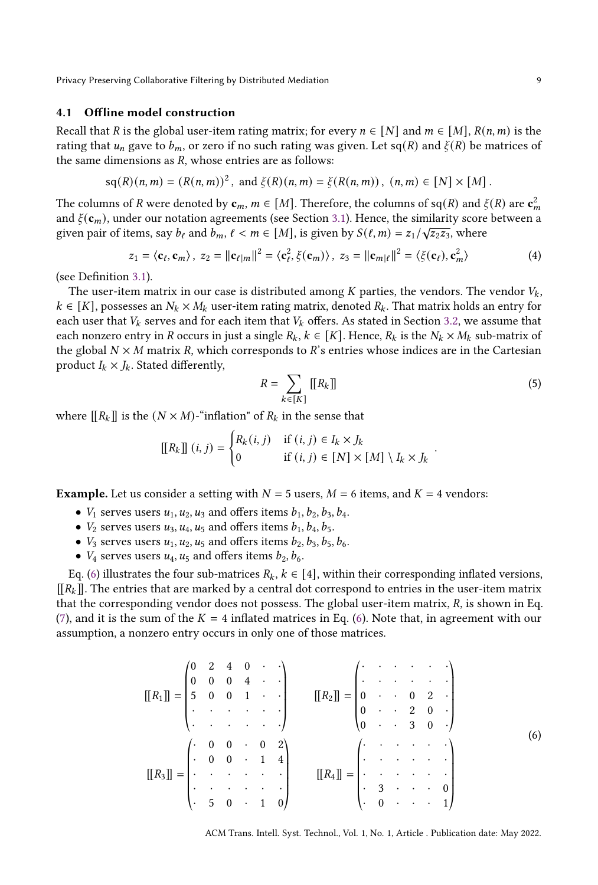#### <span id="page-8-0"></span>4.1 Offline model construction

Recall that R is the global user-item rating matrix; for every  $n \in [N]$  and  $m \in [M]$ ,  $R(n, m)$  is the rating that  $u_n$  gave to  $b_m$ , or zero if no such rating was given. Let sq(R) and  $\xi(R)$  be matrices of the same dimensions as  $R$ , whose entries are as follows:

$$
sq(R)(n, m) = (R(n, m))^2
$$
, and  $\xi(R)(n, m) = \xi(R(n, m))$ ,  $(n, m) \in [N] \times [M]$ .

The columns of R were denoted by  $\mathbf{c}_m$ ,  $m \in [M]$ . Therefore, the columns of sq(R) and  $\xi(R)$  are  $\mathbf{c}_m^2$ and  $\xi(\mathbf{c}_m)$ , under our notation agreements (see Section [3.1\)](#page-4-1). Hence, the similarity score between a given pair of items, say  $b_{\ell}$  and  $b_m$ ,  $\ell < m \in [M]$ , is given by  $S(\ell,m) = z_1/\sqrt{z_2 z_3}$ , where

<span id="page-8-3"></span>
$$
z_1 = \langle \mathbf{c}_{\ell}, \mathbf{c}_m \rangle, \ z_2 = ||\mathbf{c}_{\ell|m}||^2 = \langle \mathbf{c}_{\ell}^2, \xi(\mathbf{c}_m) \rangle, \ z_3 = ||\mathbf{c}_{m|\ell}||^2 = \langle \xi(\mathbf{c}_{\ell}), \mathbf{c}_m^2 \rangle
$$
 (4)

(see Definition [3.1\)](#page-4-2).

The user-item matrix in our case is distributed among K parties, the vendors. The vendor  $V_k$ ,  $k \in [K]$ , possesses an  $N_k \times N_k$  user-item rating matrix, denoted  $R_k$ . That matrix holds an entry for each user that  $V_k$  serves and for each item that  $V_k$  offers. As stated in Section [3.2,](#page-5-0) we assume that each nonzero entry in R occurs in just a single  $R_k$ ,  $k \in [K]$ . Hence,  $R_k$  is the  $N_k \times M_k$  sub-matrix of the global  $N \times M$  matrix R, which corresponds to R's entries whose indices are in the Cartesian product  $I_k \times J_k$ . Stated differently,

<span id="page-8-2"></span>
$$
R = \sum_{k \in [K]} [[R_k]] \tag{5}
$$

.

where  $[[R_k]]$  is the  $(N \times M)$ -"inflation" of  $R_k$  in the sense that

$$
\llbracket R_k \rrbracket (i, j) = \begin{cases} R_k(i, j) & \text{if } (i, j) \in I_k \times J_k \\ 0 & \text{if } (i, j) \in [N] \times [M] \setminus I_k \times J_k \end{cases}
$$

**Example.** Let us consider a setting with  $N = 5$  users,  $M = 6$  items, and  $K = 4$  vendors:

- $V_1$  serves users  $u_1, u_2, u_3$  and offers items  $b_1, b_2, b_3, b_4$ .
- $V_2$  serves users  $u_3$ ,  $u_4$ ,  $u_5$  and offers items  $b_1$ ,  $b_4$ ,  $b_5$ .
- $V_3$  serves users  $u_1, u_2, u_5$  and offers items  $b_2, b_3, b_5, b_6$ .
- $V_4$  serves users  $u_4$ ,  $u_5$  and offers items  $b_2$ ,  $b_6$ .

Eq. [\(6\)](#page-8-1) illustrates the four sub-matrices  $R_k$ ,  $k \in [4]$ , within their corresponding inflated versions,  $[[R_k]]$ . The entries that are marked by a central dot correspond to entries in the user-item matrix that the corresponding vendor does not possess. The global user-item matrix,  $R$ , is shown in Eq. [\(7\)](#page-9-0), and it is the sum of the  $K = 4$  inflated matrices in Eq. [\(6\)](#page-8-1). Note that, in agreement with our assumption, a nonzero entry occurs in only one of those matrices.

<span id="page-8-1"></span>
$$
\llbracket R_1 \rrbracket = \begin{pmatrix} 0 & 2 & 4 & 0 & \cdot & \cdot \\ 0 & 0 & 0 & 4 & \cdot & \cdot \\ 5 & 0 & 0 & 1 & \cdot & \cdot \\ \cdot & \cdot & \cdot & \cdot & \cdot & \cdot \\ \cdot & \cdot & \cdot & \cdot & \cdot & \cdot \\ \cdot & \cdot & \cdot & \cdot & \cdot & \cdot \\ \cdot & \cdot & \cdot & \cdot & \cdot & \cdot \\ \cdot & \cdot & \cdot & \cdot & \cdot & \cdot \\ \cdot & \cdot & \cdot & \cdot & \cdot & \cdot \\ \cdot & \cdot & \cdot & \cdot & \cdot & \cdot \\ \cdot & \cdot & \cdot & \cdot & \cdot & \cdot \\ \cdot & \cdot & \cdot & \cdot & \cdot & \cdot \\ \cdot & \cdot & \cdot & \cdot & \cdot & \cdot \\ \cdot & \cdot & \cdot & \cdot & \cdot & \cdot \\ \cdot & \cdot & \cdot & \cdot & \cdot & \cdot \\ \cdot & \cdot & \cdot & \cdot & \cdot & \cdot \\ \cdot & \cdot & \cdot & \cdot & \cdot & \cdot \\ \cdot & \cdot & \cdot & \cdot & \cdot & \cdot \\ \cdot & \cdot & \cdot & \cdot & \cdot & \cdot \\ \cdot & \cdot & \cdot & \cdot & \cdot & \cdot \\ \cdot & \cdot & \cdot & \cdot & \cdot & \cdot \\ \cdot & \cdot & \cdot & \cdot & \cdot & \cdot \\ \cdot & \cdot & \cdot & \cdot & \cdot & \cdot \\ \cdot & \cdot & \cdot & \cdot & \cdot & \cdot \\ \cdot & \cdot & \cdot & \cdot & \cdot & \cdot \\ \cdot & \cdot & \cdot & \cdot & \cdot & \cdot \\ \cdot & \cdot & \cdot & \cdot & \cdot & \cdot \\ \cdot & \cdot & \cdot & \cdot & \cdot & \cdot \\ \cdot & \cdot & \cdot & \cdot & \cdot & \cdot \\ \cdot & \cdot & \cdot & \cdot & \cdot & \cdot \\ \cdot & \cdot & \cdot & \cdot & \cdot & \cdot \\ \cdot & \cdot & \cdot & \cdot & \cdot & \cdot \\ \end{pmatrix} \tag{6}
$$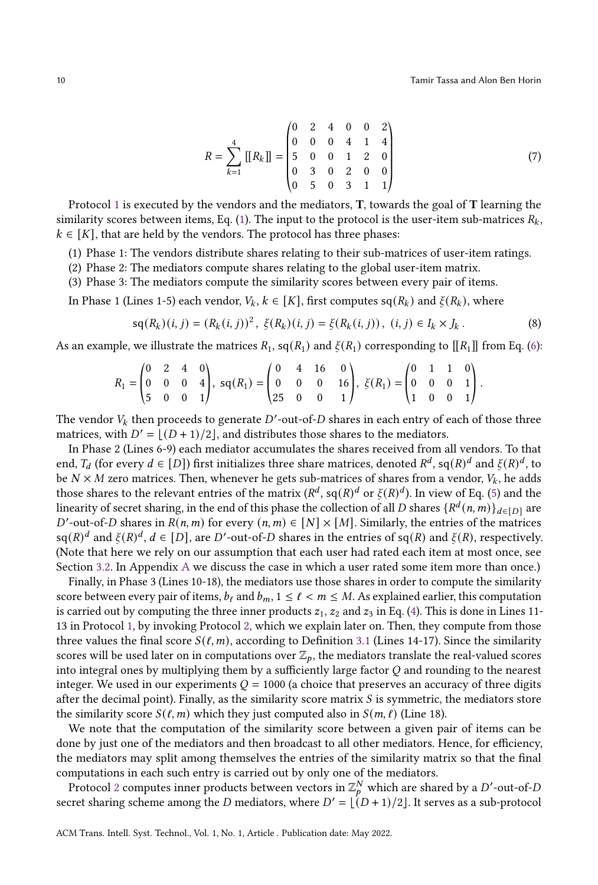.

<span id="page-9-0"></span>
$$
R = \sum_{k=1}^{4} [[R_k]] = \begin{pmatrix} 0 & 2 & 4 & 0 & 0 & 2 \\ 0 & 0 & 0 & 4 & 1 & 4 \\ 5 & 0 & 0 & 1 & 2 & 0 \\ 0 & 3 & 0 & 2 & 0 & 0 \\ 0 & 5 & 0 & 3 & 1 & 1 \end{pmatrix}
$$
(7)

Protocol [1](#page-10-0) is executed by the vendors and the mediators, T, towards the goal of T learning the similarity scores between items, Eq. [\(1\)](#page-5-3). The input to the protocol is the user-item sub-matrices  $R_k$ ,  $k \in [K]$ , that are held by the vendors. The protocol has three phases:

- (1) Phase 1: The vendors distribute shares relating to their sub-matrices of user-item ratings.
- (2) Phase 2: The mediators compute shares relating to the global user-item matrix.
- (3) Phase 3: The mediators compute the similarity scores between every pair of items.

In Phase 1 (Lines 1-5) each vendor,  $V_k$ ,  $k \in [K]$ , first computes sq( $R_k$ ) and  $\xi(R_k)$ , where

$$
sq(R_k)(i, j) = (R_k(i, j))^2, \ \xi(R_k)(i, j) = \xi(R_k(i, j)), \ (i, j) \in I_k \times J_k. \tag{8}
$$

As an example, we illustrate the matrices  $R_1$ ,  $sq(R_1)$  and  $\xi(R_1)$  corresponding to  $[[R_1]]$  from Eq. [\(6\)](#page-8-1):

$$
R_1 = \begin{pmatrix} 0 & 2 & 4 & 0 \\ 0 & 0 & 0 & 4 \\ 5 & 0 & 0 & 1 \end{pmatrix}, \text{ sq}(R_1) = \begin{pmatrix} 0 & 4 & 16 & 0 \\ 0 & 0 & 0 & 16 \\ 25 & 0 & 0 & 1 \end{pmatrix}, \xi(R_1) = \begin{pmatrix} 0 & 1 & 1 & 0 \\ 0 & 0 & 0 & 1 \\ 1 & 0 & 0 & 1 \end{pmatrix}
$$

The vendor  $V_k$  then proceeds to generate  $D'$ -out-of-D shares in each entry of each of those three matrices, with  $D' = \lfloor (D+1)/2 \rfloor$ , and distributes those shares to the mediators.

In Phase 2 (Lines 6-9) each mediator accumulates the shares received from all vendors. To that end,  $T_d$  (for every  $d \in [D]$ ) first initializes three share matrices, denoted  $R^d$ , sq $(R)^d$  and  $\xi(R)^d$ , to be  $N \times M$  zero matrices. Then, whenever he gets sub-matrices of shares from a vendor,  $V_k$ , he adds those shares to the relevant entries of the matrix  $(R^d, sq(R)^d$  or  $\zeta(R)^d$ ). In view of Eq. [\(5\)](#page-8-2) and the linearity of secret sharing, in the end of this phase the collection of all D shares  $\{R^d(n, m)\}_{d\in[D]}$  are D'-out-of-D shares in  $R(n, m)$  for every  $(n, m) \in [N] \times [M]$ . Similarly, the entries of the matrices sq(R)<sup>d</sup> and  $\xi(R)^d$ ,  $d \in [D]$ , are D'-out-of-D shares in the entries of sq(R) and  $\xi(R)$ , respectively. (Note that here we rely on our assumption that each user had rated each item at most once, see Section [3.2.](#page-5-0) In Appendix [A](#page-25-1) we discuss the case in which a user rated some item more than once.)

Finally, in Phase 3 (Lines 10-18), the mediators use those shares in order to compute the similarity score between every pair of items,  $b_{\ell}$  and  $b_m$ ,  $1 \leq \ell < m \leq M$ . As explained earlier, this computation is carried out by computing the three inner products  $z_1$ ,  $z_2$  and  $z_3$  in Eq. [\(4\)](#page-8-3). This is done in Lines 11-13 in Protocol [1,](#page-10-0) by invoking Protocol [2,](#page-11-1) which we explain later on. Then, they compute from those three values the final score  $S(\ell,m)$ , according to Definition [3.1](#page-4-2) (Lines 14-17). Since the similarity scores will be used later on in computations over  $\mathbb{Z}_p$ , the mediators translate the real-valued scores into integral ones by multiplying them by a sufficiently large factor  $Q$  and rounding to the nearest integer. We used in our experiments  $Q = 1000$  (a choice that preserves an accuracy of three digits after the decimal point). Finally, as the similarity score matrix  $S$  is symmetric, the mediators store the similarity score  $S(\ell,m)$  which they just computed also in  $S(m,\ell)$  (Line 18).

We note that the computation of the similarity score between a given pair of items can be done by just one of the mediators and then broadcast to all other mediators. Hence, for efficiency, the mediators may split among themselves the entries of the similarity matrix so that the final computations in each such entry is carried out by only one of the mediators.

Protocol [2](#page-11-1) computes inner products between vectors in  $\mathbb{Z}_p^N$  which are shared by a D'-out-of-D secret sharing scheme among the D mediators, where  $D' = \lfloor (D+1)/2 \rfloor$ . It serves as a sub-protocol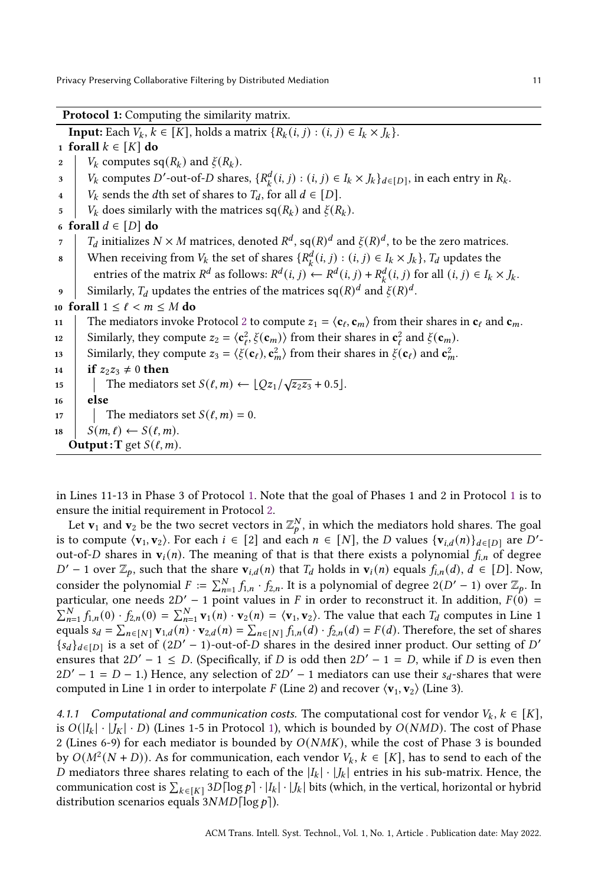| Protocol 1: Computing the similarity matrix.                                                                                                                           |  |
|------------------------------------------------------------------------------------------------------------------------------------------------------------------------|--|
| <b>Input:</b> Each $V_k$ , $k \in [K]$ , holds a matrix $\{R_k(i, j) : (i, j) \in I_k \times J_k\}$ .                                                                  |  |
| 1 forall $k \in [K]$ do                                                                                                                                                |  |
| $V_k$ computes sq( $R_k$ ) and $\xi(R_k)$ .<br>$\boldsymbol{2}$                                                                                                        |  |
| $V_k$ computes D'-out-of-D shares, $\{R_k^d(i,j) : (i,j) \in I_k \times J_k\}_{d \in [D]},$ in each entry in $R_k$ .<br>3                                              |  |
| $V_k$ sends the dth set of shares to $T_d$ , for all $d \in [D]$ .<br>$\overline{\mathbf{4}}$                                                                          |  |
| $V_k$ does similarly with the matrices sq( $R_k$ ) and $\xi(R_k)$ .<br>5                                                                                               |  |
| 6 forall $d \in [D]$ do                                                                                                                                                |  |
| $T_d$ initializes $N \times M$ matrices, denoted $R^d$ , $sq(R)^d$ and $\xi(R)^d$ , to be the zero matrices.<br>$\overline{7}$                                         |  |
| When receiving from $V_k$ the set of shares $\{R_k^d(i,j) : (i,j) \in I_k \times J_k\}$ , $T_d$ updates the<br>8                                                       |  |
| entries of the matrix $R^d$ as follows: $R^d(i, j) \leftarrow R^d(i, j) + R^d_k(i, j)$ for all $(i, j) \in I_k \times J_k$ .                                           |  |
| Similarly, $T_d$ updates the entries of the matrices $sq(R)^d$ and $\xi(R)^d$ .<br>9                                                                                   |  |
| 10 forall $1 \leq \ell < m \leq M$ do                                                                                                                                  |  |
| The mediators invoke Protocol 2 to compute $z_1 = \langle \mathbf{c}_{\ell}, \mathbf{c}_m \rangle$ from their shares in $\mathbf{c}_{\ell}$ and $\mathbf{c}_m$ .<br>11 |  |
| Similarly, they compute $z_2 = \langle \mathbf{c}_i^2, \xi(\mathbf{c}_m) \rangle$ from their shares in $\mathbf{c}_i^2$ and $\xi(\mathbf{c}_m)$ .<br>12                |  |
| Similarly, they compute $z_3 = \langle \xi(\mathbf{c}_\ell), \mathbf{c}_m^2 \rangle$ from their shares in $\xi(\mathbf{c}_\ell)$ and $\mathbf{c}_m^2$ .<br>13          |  |
| if $z_2z_3 \neq 0$ then<br>14                                                                                                                                          |  |
| The mediators set $S(\ell, m) \leftarrow [Qz_1/\sqrt{z_2z_3} + 0.5]$ .<br>15                                                                                           |  |
| else<br>16                                                                                                                                                             |  |
| The mediators set $S(\ell, m) = 0$ .<br>17                                                                                                                             |  |
| $S(m, \ell) \leftarrow S(\ell, m).$<br>18                                                                                                                              |  |
| <b>Output: T</b> get $S(\ell, m)$ .                                                                                                                                    |  |
|                                                                                                                                                                        |  |
|                                                                                                                                                                        |  |

<span id="page-10-0"></span>in Lines 11-13 in Phase 3 of Protocol [1.](#page-10-0) Note that the goal of Phases 1 and 2 in Protocol [1](#page-10-0) is to ensure the initial requirement in Protocol [2.](#page-11-1)

Let  $\mathbf{v}_1$  and  $\mathbf{v}_2$  be the two secret vectors in  $\mathbb{Z}_p^N$ , in which the mediators hold shares. The goal is to compute  $\langle v_1, v_2 \rangle$ . For each  $i \in [2]$  and each  $n \in [N]$ , the D values  $\{v_{i,d}(n)\}_{d \in [D]}$  are D'out-of-D shares in  $v_i(n)$ . The meaning of that is that there exists a polynomial  $f_{i,n}$  of degree  $D' - 1$  over  $\mathbb{Z}_p$ , such that the share  $\mathbf{v}_{i,d}(n)$  that  $T_d$  holds in  $\mathbf{v}_i(n)$  equals  $f_{i,n}(d), d \in [D]$ . Now, consider the polynomial  $F := \sum_{n=1}^{N} f_{1,n} \cdot f_{2,n}$ . It is a polynomial of degree  $2(D'-1)$  over  $\mathbb{Z}_p$ . In particular, one needs  $2D' - 1$  point values in F in order to reconstruct it. In addition,  $F(0) =$  $\sum_{n=1}^{N} f_{1,n}(0) \cdot f_{2,n}(0) = \sum_{n=1}^{N} \mathbf{v}_1(n) \cdot \mathbf{v}_2(n) = \langle \mathbf{v}_1, \mathbf{v}_2 \rangle$ . The value that each  $T_d$  computes in Line 1 equals  $s_d = \sum_{n \in [N]} \mathbf{v}_{1,d}(n) \cdot \mathbf{v}_{2,d}(n) = \sum_{n \in [N]} f_{1,n}(d) \cdot f_{2,n}(d) = F(d)$ . Therefore, the set of shares  ${s_d}_{d \in [D]}$  is a set of  $(2D' - 1)$ -out-of-D shares in the desired inner product. Our setting of D' ensures that  $2D' - 1 \le D$ . (Specifically, if D is odd then  $2D' - 1 = D$ , while if D is even then  $2D' - 1 = D - 1$ .) Hence, any selection of  $2D' - 1$  mediators can use their  $s_d$ -shares that were computed in Line 1 in order to interpolate F (Line 2) and recover  $\langle v_1, v_2 \rangle$  (Line 3).

4.1.1 Computational and communication costs. The computational cost for vendor  $V_k$ ,  $k \in [K]$ , is  $O(|I_k| \cdot |K| \cdot D)$  (Lines 1-5 in Protocol [1\)](#page-10-0), which is bounded by  $O(NMD)$ . The cost of Phase 2 (Lines 6-9) for each mediator is bounded by  $O(NMK)$ , while the cost of Phase 3 is bounded by  $O(M^2(N + D))$ . As for communication, each vendor  $V_k$ ,  $k \in [K]$ , has to send to each of the D mediators three shares relating to each of the  $|I_k| \cdot |J_k|$  entries in his sub-matrix. Hence, the communication cost is  $\sum_{k \in [K]} 3D \overline{\lceil \log p \rceil \cdot |I_k| \cdot |J_k|}$  bits (which, in the vertical, horizontal or hybrid distribution scenarios equals  $3NMD \lceil \log p \rceil$ ).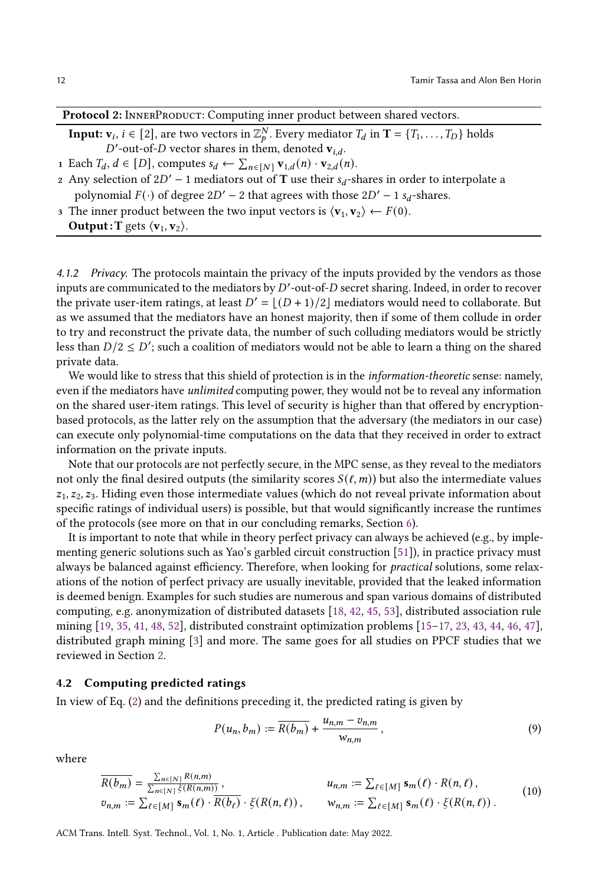Protocol 2: INNERPRODUCT: Computing inner product between shared vectors.

**Input:**  $\mathbf{v}_i$ ,  $i \in [2]$ , are two vectors in  $\mathbb{Z}_p^N$ . Every mediator  $T_d$  in  $\mathbf{T} = \{T_1, \ldots, T_D\}$  holds D'-out-of-D vector shares in them, denoted  $\mathbf{v}_{i,d}$ .

- 1 Each  $T_d$ ,  $d \in [D]$ , computes  $s_d \leftarrow \sum_{n \in [N]} \mathbf{v}_{1,d}(n) \cdot \mathbf{v}_{2,d}(n)$ .
- 2 Any selection of  $2D' 1$  mediators out of T use their  $s_d$ -shares in order to interpolate a polynomial  $F(\cdot)$  of degree  $2D' - 2$  that agrees with those  $2D' - 1$   $s_d$ -shares.
- 3 The inner product between the two input vectors is  $\langle v_1, v_2 \rangle \leftarrow F(0)$ .

<span id="page-11-1"></span>**Output**: **T** gets  $\langle v_1, v_2 \rangle$ .

<span id="page-11-4"></span>4.1.2 Privacy. The protocols maintain the privacy of the inputs provided by the vendors as those inputs are communicated to the mediators by  $D'$ -out-of-D secret sharing. Indeed, in order to recover the private user-item ratings, at least  $D' = \lfloor (D+1)/2 \rfloor$  mediators would need to collaborate. But as we assumed that the mediators have an honest majority, then if some of them collude in order to try and reconstruct the private data, the number of such colluding mediators would be strictly less than  $D/2 \le D'$ ; such a coalition of mediators would not be able to learn a thing on the shared private data.

We would like to stress that this shield of protection is in the information-theoretic sense: namely, even if the mediators have unlimited computing power, they would not be to reveal any information on the shared user-item ratings. This level of security is higher than that offered by encryptionbased protocols, as the latter rely on the assumption that the adversary (the mediators in our case) can execute only polynomial-time computations on the data that they received in order to extract information on the private inputs.

Note that our protocols are not perfectly secure, in the MPC sense, as they reveal to the mediators not only the final desired outputs (the similarity scores  $S(\ell,m)$ ) but also the intermediate values  $z_1, z_2, z_3$ . Hiding even those intermediate values (which do not reveal private information about specific ratings of individual users) is possible, but that would significantly increase the runtimes of the protocols (see more on that in our concluding remarks, Section [6\)](#page-22-0).

It is important to note that while in theory perfect privacy can always be achieved (e.g., by implementing generic solutions such as Yao's garbled circuit construction [\[51\]](#page-24-1)), in practice privacy must always be balanced against efficiency. Therefore, when looking for practical solutions, some relaxations of the notion of perfect privacy are usually inevitable, provided that the leaked information is deemed benign. Examples for such studies are numerous and span various domains of distributed computing, e.g. anonymization of distributed datasets [\[18,](#page-23-15) [42,](#page-24-11) [45,](#page-24-12) [53\]](#page-24-13), distributed association rule mining  $[19, 35, 41, 48, 52]$  $[19, 35, 41, 48, 52]$  $[19, 35, 41, 48, 52]$  $[19, 35, 41, 48, 52]$  $[19, 35, 41, 48, 52]$  $[19, 35, 41, 48, 52]$  $[19, 35, 41, 48, 52]$  $[19, 35, 41, 48, 52]$  $[19, 35, 41, 48, 52]$ , distributed constraint optimization problems  $[15-17, 23, 43, 44, 46, 47]$  $[15-17, 23, 43, 44, 46, 47]$  $[15-17, 23, 43, 44, 46, 47]$  $[15-17, 23, 43, 44, 46, 47]$  $[15-17, 23, 43, 44, 46, 47]$  $[15-17, 23, 43, 44, 46, 47]$  $[15-17, 23, 43, 44, 46, 47]$  $[15-17, 23, 43, 44, 46, 47]$  $[15-17, 23, 43, 44, 46, 47]$  $[15-17, 23, 43, 44, 46, 47]$  $[15-17, 23, 43, 44, 46, 47]$  $[15-17, 23, 43, 44, 46, 47]$ , distributed graph mining [\[3\]](#page-23-20) and more. The same goes for all studies on PPCF studies that we reviewed in Section [2.](#page-2-0)

#### <span id="page-11-0"></span>4.2 Computing predicted ratings

In view of Eq. [\(2\)](#page-5-1) and the definitions preceding it, the predicted rating is given by

<span id="page-11-2"></span>
$$
P(u_n, b_m) := \overline{R(b_m)} + \frac{u_{n,m} - v_{n,m}}{w_{n,m}},
$$
\n<sup>(9)</sup>

where

<span id="page-11-3"></span>
$$
\overline{R(b_m)} = \frac{\sum_{n \in [N]} R(n,m)}{\sum_{n \in [N]} \xi(R(n,m))}, \qquad u_{n,m} := \sum_{\ell \in [M]} \mathbf{s}_m(\ell) \cdot R(n,\ell),
$$
\n
$$
v_{n,m} := \sum_{\ell \in [M]} \mathbf{s}_m(\ell) \cdot R(b_\ell) \cdot \xi(R(n,\ell)), \qquad w_{n,m} := \sum_{\ell \in [M]} \mathbf{s}_m(\ell) \cdot \xi(R(n,\ell)).
$$
\n(10)

ACM Trans. Intell. Syst. Technol., Vol. 1, No. 1, Article . Publication date: May 2022.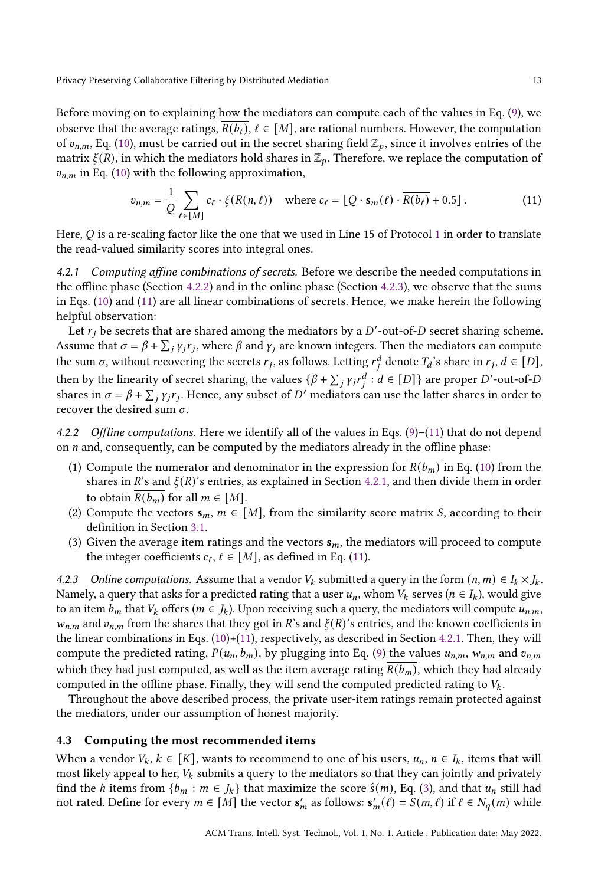Before moving on to explaining how the mediators can compute each of the values in Eq. [\(9\)](#page-11-2), we observe that the average ratings,  $R(b_\ell)$ ,  $\ell \in [M]$ , are rational numbers. However, the computation of  $v_{n,m}$ , Eq. [\(10\)](#page-11-3), must be carried out in the secret sharing field  $\mathbb{Z}_p$ , since it involves entries of the matrix  $\xi(R)$ , in which the mediators hold shares in  $\mathbb{Z}_p$ . Therefore, we replace the computation of  $v_{n,m}$  in Eq. [\(10\)](#page-11-3) with the following approximation,

<span id="page-12-3"></span>
$$
v_{n,m} = \frac{1}{Q} \sum_{\ell \in [M]} c_{\ell} \cdot \xi(R(n,\ell)) \quad \text{where } c_{\ell} = \lfloor Q \cdot \mathbf{s}_m(\ell) \cdot \overline{R(b_{\ell})} + 0.5 \rfloor. \tag{11}
$$

Here,  $Q$  is a re-scaling factor like the one that we used in Line [1](#page-10-0)5 of Protocol 1 in order to translate the read-valued similarity scores into integral ones.

<span id="page-12-4"></span>4.2.1 Computing affine combinations of secrets. Before we describe the needed computations in the offline phase (Section [4.2.2\)](#page-12-1) and in the online phase (Section [4.2.3\)](#page-12-2), we observe that the sums in Eqs. [\(10\)](#page-11-3) and [\(11\)](#page-12-3) are all linear combinations of secrets. Hence, we make herein the following helpful observation:

Let  $r_i$  be secrets that are shared among the mediators by a D'-out-of-D secret sharing scheme. Assume that  $\sigma = \beta + \sum_j \gamma_j r_j$ , where  $\beta$  and  $\gamma_j$  are known integers. Then the mediators can compute the sum  $\sigma$ , without recovering the secrets  $r_j$ , as follows. Letting  $r_j^d$  denote  $T_d$ 's share in  $r_j$ ,  $d \in [D]$ , then by the linearity of secret sharing, the values  $\{\beta+\sum_j \gamma_j r_j^d : d \in [D]\}$  are proper  $D'$ -out-of- $D$ shares in  $\sigma = \beta + \sum_j \gamma_j r_j$ . Hence, any subset of D' mediators can use the latter shares in order to recover the desired sum  $\sigma$ .

<span id="page-12-1"></span>4.2.2 Offline computations. Here we identify all of the values in Eqs.  $(9)-(11)$  $(9)-(11)$  $(9)-(11)$  that do not depend on  $n$  and, consequently, can be computed by the mediators already in the offline phase:

- (1) Compute the numerator and denominator in the expression for  $R(b_m)$  in Eq. [\(10\)](#page-11-3) from the shares in  $R$ 's and  $\xi(R)$ 's entries, as explained in Section [4.2.1,](#page-12-4) and then divide them in order to obtain  $R(b_m)$  for all  $m \in [M]$ .
- (2) Compute the vectors  $s_m$ ,  $m \in [M]$ , from the similarity score matrix S, according to their definition in Section [3.1.](#page-4-1)
- (3) Given the average item ratings and the vectors  $s_m$ , the mediators will proceed to compute the integer coefficients  $c_{\ell}, \ell \in [M]$ , as defined in Eq. [\(11\)](#page-12-3).

<span id="page-12-2"></span>4.2.3 Online computations. Assume that a vendor  $V_k$  submitted a query in the form  $(n, m) \in I_k \times J_k$ . Namely, a query that asks for a predicted rating that a user  $u_n$ , whom  $V_k$  serves ( $n \in I_k$ ), would give to an item  $b_m$  that  $V_k$  offers ( $m \in J_k$ ). Upon receiving such a query, the mediators will compute  $u_{n,m}$ ,  $w_{n,m}$  and  $v_{n,m}$  from the shares that they got in R's and  $\xi(R)$ 's entries, and the known coefficients in the linear combinations in Eqs.  $(10)+(11)$  $(10)+(11)$  $(10)+(11)$ , respectively, as described in Section [4.2.1.](#page-12-4) Then, they will compute the predicted rating,  $P(u_n, b_m)$ , by plugging into Eq. [\(9\)](#page-11-2) the values  $u_{n,m}$ ,  $w_{n,m}$  and  $v_{n,m}$ which they had just computed, as well as the item average rating  $R(b_m)$ , which they had already computed in the offline phase. Finally, they will send the computed predicted rating to  $V_k$ .

Throughout the above described process, the private user-item ratings remain protected against the mediators, under our assumption of honest majority.

#### <span id="page-12-0"></span>4.3 Computing the most recommended items

When a vendor  $V_k$ ,  $k \in [K]$ , wants to recommend to one of his users,  $u_n$ ,  $n \in I_k$ , items that will most likely appeal to her,  $V_k$  submits a query to the mediators so that they can jointly and privately find the *h* items from  $\{b_m : m \in J_k\}$  that maximize the score  $\hat{s}(m)$ , Eq. [\(3\)](#page-5-4), and that  $u_n$  still had not rated. Define for every  $m \in [M]$  the vector  $s'_m$  as follows:  $s'_m(\ell) = \overline{S(m,\ell)}$  if  $\ell \in N_q(m)$  while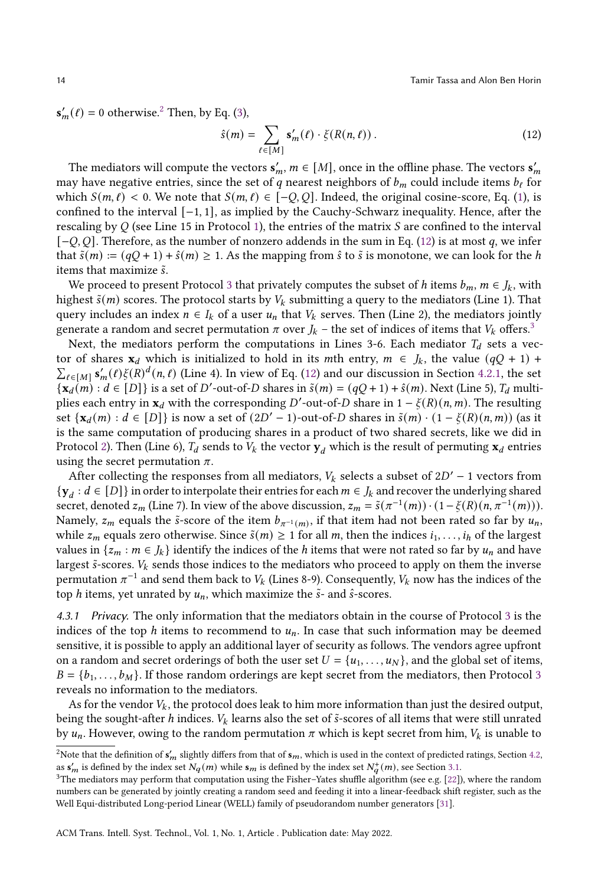14 Tamir Tassa and Alon Ben Horin

 $s'_m(\ell) = 0$  otherwise.<sup>[2](#page-13-0)</sup> Then, by Eq. [\(3\)](#page-5-4),

<span id="page-13-1"></span>
$$
\hat{s}(m) = \sum_{\ell \in [M]} \mathbf{s}'_m(\ell) \cdot \xi(R(n,\ell)). \tag{12}
$$

The mediators will compute the vectors  $s'_m$ ,  $m \in [M]$ , once in the offline phase. The vectors  $s'_m$ may have negative entries, since the set of q nearest neighbors of  $b_m$  could include items  $b_\ell$  for which  $S(m, \ell) < 0$ . We note that  $S(m, \ell) \in [-Q, Q]$ . Indeed, the original cosine-score, Eq. [\(1\)](#page-5-3), is confined to the interval [−1, 1], as implied by the Cauchy-Schwarz inequality. Hence, after the rescaling by  $Q$  (see Line 15 in Protocol [1\)](#page-10-0), the entries of the matrix  $S$  are confined to the interval  $[-Q, Q]$ . Therefore, as the number of nonzero addends in the sum in Eq. [\(12\)](#page-13-1) is at most q, we infer that  $\tilde{s}(m) := (qQ + 1) + \hat{s}(m) \ge 1$ . As the mapping from  $\hat{s}$  to  $\tilde{s}$  is monotone, we can look for the h items that maximize  $\tilde{s}$ .

We proceed to present Protocol [3](#page-14-0) that privately computes the subset of h items  $b_m$ ,  $m \in J_k$ , with highest  $\tilde{s}(m)$  scores. The protocol starts by  $V_k$  submitting a query to the mediators (Line 1). That query includes an index  $n \in I_k$  of a user  $u_n$  that  $V_k$  serves. Then (Line 2), the mediators jointly generate a random and secret permutation  $\pi$  over  $J_k$  – the set of indices of items that  $V_k$  offers.<sup>[3](#page-13-2)</sup>

Next, the mediators perform the computations in Lines 3-6. Each mediator  $T_d$  sets a vector of shares  $\mathbf{x}_d$  which is initialized to hold in its mth entry,  $m \in J_k$ , the value  $(qQ + 1)$  +  $\sum_{\ell \in [M]} s'_m(\ell) \xi(\mathbf{R})^d(n,\ell)$  (Line 4). In view of Eq. [\(12\)](#page-13-1) and our discussion in Section [4.2.1,](#page-12-4) the set  ${x_d(m) : d \in [D]}$  is a set of D'-out-of-D shares in  $\tilde{s}(m) = (qQ + 1) + \hat{s}(m)$ . Next (Line 5),  $T_d$  multiplies each entry in  $\mathbf{x}_d$  with the corresponding D'-out-of-D share in  $1 - \xi(R)(n, m)$ . The resulting set  $\{x_d(m) : d \in [D]\}$  is now a set of  $(2D' - 1)$ -out-of-D shares in  $\tilde{s}(m) \cdot (1 - \xi(R)(n, m))$  (as it is the same computation of producing shares in a product of two shared secrets, like we did in Protocol [2\)](#page-11-1). Then (Line 6),  $T_d$  sends to  $V_k$  the vector  $\mathbf{y}_d$  which is the result of permuting  $\mathbf{x}_d$  entries using the secret permutation  $\pi$ .

After collecting the responses from all mediators,  $V_k$  selects a subset of  $2D' - 1$  vectors from {**y**<sub>d</sub> : *d* ∈ [D]} in order to interpolate their entries for each *m* ∈ *J*<sub>k</sub> and recover the underlying shared secret, denoted  $z_m$  (Line 7). In view of the above discussion,  $z_m = \tilde{s}(\pi^{-1}(m)) \cdot (1 - \xi(R)(n, \pi^{-1}(m)))$ . Namely,  $z_m$  equals the  $\tilde{s}$ -score of the item  $b_{\pi^{-1}(m)}$ , if that item had not been rated so far by  $u_n$ , while  $z_m$  equals zero otherwise. Since  $\tilde{s}(m) \geq 1$  for all m, then the indices  $i_1, \ldots, i_h$  of the largest values in  $\{z_m : m \in J_k\}$  identify the indices of the h items that were not rated so far by  $u_n$  and have largest  $\tilde{s}$ -scores.  $V_k$  sends those indices to the mediators who proceed to apply on them the inverse permutation  $\pi^{-1}$  and send them back to  $V_k$  (Lines 8-9). Consequently,  $V_k$  now has the indices of the top *h* items, yet unrated by  $u_n$ , which maximize the  $\tilde{s}$ - and  $\hat{s}$ -scores.

4.3.1 Privacy. The only information that the mediators obtain in the course of Protocol [3](#page-14-0) is the indices of the top h items to recommend to  $u_n$ . In case that such information may be deemed sensitive, it is possible to apply an additional layer of security as follows. The vendors agree upfront on a random and secret orderings of both the user set  $U = \{u_1, \ldots, u_N\}$ , and the global set of items,  $B = \{b_1, \ldots, b_M\}$ . If those random orderings are kept secret from the mediators, then Protocol [3](#page-14-0) reveals no information to the mediators.

As for the vendor  $V_k$ , the protocol does leak to him more information than just the desired output, being the sought-after  $h$  indices.  $V_k$  learns also the set of  $\tilde{s}$ -scores of all items that were still unrated by  $u_n$ . However, owing to the random permutation  $\pi$  which is kept secret from him,  $V_k$  is unable to

<span id="page-13-0"></span><sup>&</sup>lt;sup>2</sup>Note that the definition of  $s'_m$  slightly differs from that of  $s_m$ , which is used in the context of predicted ratings, Section [4.2,](#page-11-0) as  $s'_m$  is defined by the index set  $N_q(m)$  while  $s_m$  is defined by the index set  $N_q^+(m)$ , see Section [3.1.](#page-4-1)

<span id="page-13-2"></span><sup>3</sup>The mediators may perform that computation using the Fisher–Yates shuffle algorithm (see e.g. [\[22\]](#page-23-21)), where the random numbers can be generated by jointly creating a random seed and feeding it into a linear-feedback shift register, such as the Well Equi-distributed Long-period Linear (WELL) family of pseudorandom number generators [\[31\]](#page-24-22).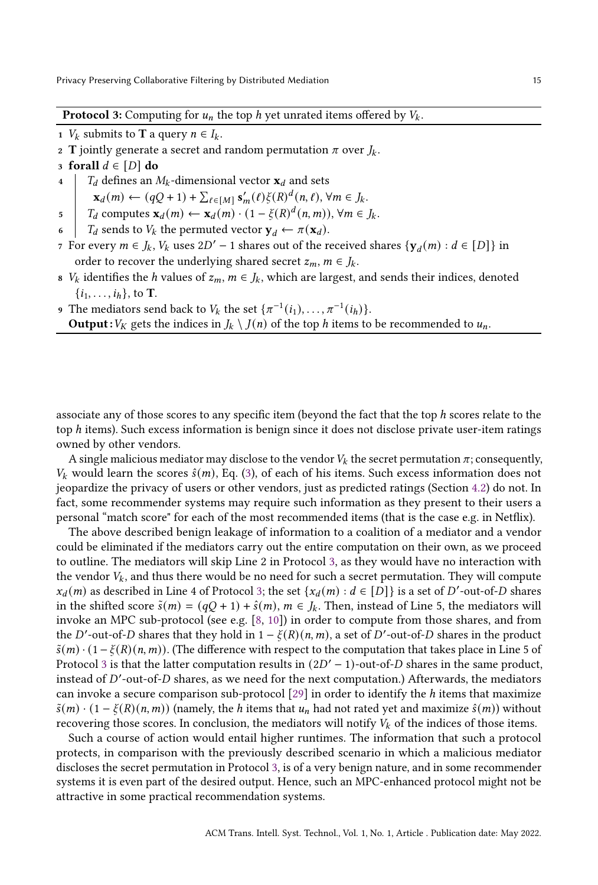- 1  $V_k$  submits to **T** a query  $n \in I_k$ .
- 2 T jointly generate a secret and random permutation  $\pi$  over  $J_k$ .
- 3 forall  $d \in [D]$  do
- $\mathbf{q}$   $T_d$  defines an  $M_k$ -dimensional vector  $\mathbf{x}_d$  and sets
	- $\mathbf{x}_d(m) \leftarrow (qQ+1) + \sum_{\ell \in [M]} \mathbf{s}'_m(\ell) \xi(R)^d(n,\ell), \forall m \in J_k.$
- $\mathbf{r}_d$  computes  $\mathbf{x}_d(m) \leftarrow \mathbf{x}_d(m) \cdot (1 \xi(R)^d(n, m)), \forall m \in J_k.$
- 6  $T_d$  sends to  $V_k$  the permuted vector  $y_d \leftarrow \pi(\mathbf{x}_d)$ .
- 7 For every  $m \in J_k$ ,  $V_k$  uses  $2D' 1$  shares out of the received shares  $\{y_d(m) : d \in [D]\}$  in order to recover the underlying shared secret  $z_m$ ,  $m \in J_k$ .
- 8  $V_k$  identifies the h values of  $z_m$ ,  $m \in J_k$ , which are largest, and sends their indices, denoted  $\{i_1, \ldots, i_h\}$ , to **T**.
- <span id="page-14-0"></span>9 The mediators send back to  $V_k$  the set  $\{\pi^{-1}(i_1), \ldots, \pi^{-1}(i_h)\}.$ **Output**:  $V_K$  gets the indices in  $J_k \setminus J(n)$  of the top h items to be recommended to  $u_n$ .

associate any of those scores to any specific item (beyond the fact that the top h scores relate to the top h items). Such excess information is benign since it does not disclose private user-item ratings owned by other vendors.

A single malicious mediator may disclose to the vendor  $V_k$  the secret permutation  $\pi$ ; consequently,  $V_k$  would learn the scores  $\hat{s}(m)$ , Eq. [\(3\)](#page-5-4), of each of his items. Such excess information does not jeopardize the privacy of users or other vendors, just as predicted ratings (Section [4.2\)](#page-11-0) do not. In fact, some recommender systems may require such information as they present to their users a personal "match score" for each of the most recommended items (that is the case e.g. in Netflix).

The above described benign leakage of information to a coalition of a mediator and a vendor could be eliminated if the mediators carry out the entire computation on their own, as we proceed to outline. The mediators will skip Line 2 in Protocol [3,](#page-14-0) as they would have no interaction with the vendor  $V_k$ , and thus there would be no need for such a secret permutation. They will compute  $x_d(m)$  as described in Line 4 of Protocol [3;](#page-14-0) the set  $\{x_d(m) : d \in [D]\}$  is a set of D'-out-of-D shares in the shifted score  $\tilde{s}(m) = (qQ + 1) + \hat{s}(m), m \in J_k$ . Then, instead of Line 5, the mediators will invoke an MPC sub-protocol (see e.g. [\[8,](#page-23-12) [10\]](#page-23-22)) in order to compute from those shares, and from the D'-out-of-D shares that they hold in  $1 - \xi(R)(n, m)$ , a set of D'-out-of-D shares in the product  $\tilde{s}(m) \cdot (1 - \xi(R)(n, m))$ . (The difference with respect to the computation that takes place in Line 5 of Protocol [3](#page-14-0) is that the latter computation results in  $(2D' - 1)$ -out-of-D shares in the same product, instead of D'-out-of-D shares, as we need for the next computation.) Afterwards, the mediators can invoke a secure comparison sub-protocol  $[29]$  in order to identify the  $h$  items that maximize  $\tilde{s}(m) \cdot (1 - \xi(R)(n,m))$  (namely, the *h* items that  $u_n$  had not rated yet and maximize  $\hat{s}(m)$ ) without recovering those scores. In conclusion, the mediators will notify  $V_k$  of the indices of those items.

Such a course of action would entail higher runtimes. The information that such a protocol protects, in comparison with the previously described scenario in which a malicious mediator discloses the secret permutation in Protocol [3,](#page-14-0) is of a very benign nature, and in some recommender systems it is even part of the desired output. Hence, such an MPC-enhanced protocol might not be attractive in some practical recommendation systems.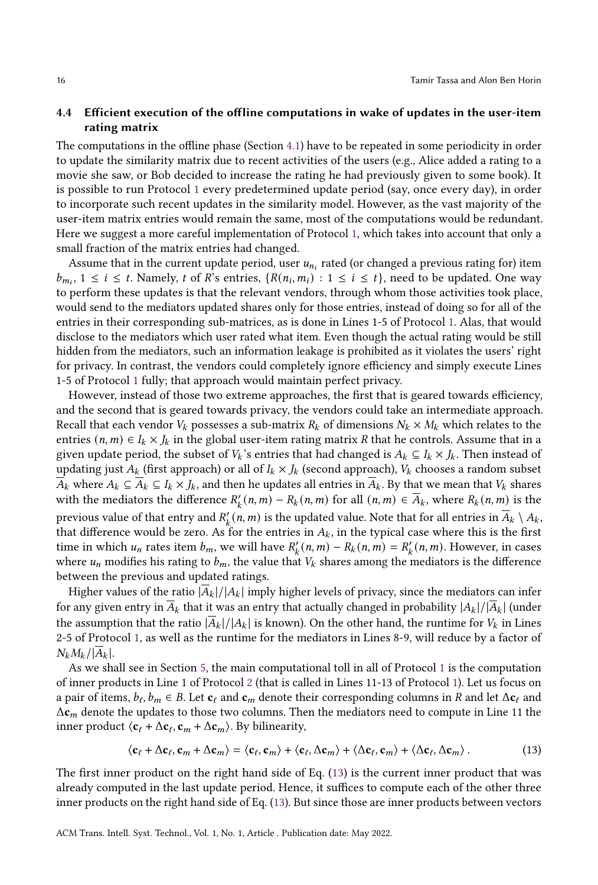## <span id="page-15-0"></span>4.4 Efficient execution of the offline computations in wake of updates in the user-item rating matrix

The computations in the offline phase (Section [4.1\)](#page-8-0) have to be repeated in some periodicity in order to update the similarity matrix due to recent activities of the users (e.g., Alice added a rating to a movie she saw, or Bob decided to increase the rating he had previously given to some book). It is possible to run Protocol [1](#page-10-0) every predetermined update period (say, once every day), in order to incorporate such recent updates in the similarity model. However, as the vast majority of the user-item matrix entries would remain the same, most of the computations would be redundant. Here we suggest a more careful implementation of Protocol [1,](#page-10-0) which takes into account that only a small fraction of the matrix entries had changed.

Assume that in the current update period, user  $u_{n_i}$  rated (or changed a previous rating for) item  $b_{m_i}$ ,  $1 \le i \le t$ . Namely, t of R's entries,  $\{R(n_i, m_i) : 1 \le i \le t\}$ , need to be updated. One way to perform these updates is that the relevant vendors, through whom those activities took place, would send to the mediators updated shares only for those entries, instead of doing so for all of the entries in their corresponding sub-matrices, as is done in Lines 1-5 of Protocol [1.](#page-10-0) Alas, that would disclose to the mediators which user rated what item. Even though the actual rating would be still hidden from the mediators, such an information leakage is prohibited as it violates the users' right for privacy. In contrast, the vendors could completely ignore efficiency and simply execute Lines 1-5 of Protocol [1](#page-10-0) fully; that approach would maintain perfect privacy.

However, instead of those two extreme approaches, the first that is geared towards efficiency, and the second that is geared towards privacy, the vendors could take an intermediate approach. Recall that each vendor  $V_k$  possesses a sub-matrix  $R_k$  of dimensions  $N_k \times M_k$  which relates to the entries (*n*, *m*)  $\in$  *I<sub>k</sub>*  $\times$  *J<sub>k</sub>* in the global user-item rating matrix *R* that he controls. Assume that in a given update period, the subset of  $V_k$ 's entries that had changed is  $A_k \subseteq I_k \times J_k$ . Then instead of updating just  $A_k$  (first approach) or all of  $I_k \times J_k$  (second approach),  $V_k$  chooses a random subset  $\overline{A}_k$  where  $A_k \subseteq \overline{A}_k \subseteq I_k \times J_k$ , and then he updates all entries in  $\overline{A}_k$ . By that we mean that  $V_k$  shares with the mediators the difference  $R'_k(n,m) - R_k(n,m)$  for all  $(n,m) \in \overline{A}_k$ , where  $R_k(n,m)$  is the previous value of that entry and  $R_k'(n,m)$  is the updated value. Note that for all entries in  $\overline{A}_k\setminus A_k,$ that difference would be zero. As for the entries in  $A_k$ , in the typical case where this is the first time in which  $u_n$  rates item  $b_m$ , we will have  $R'_k(n,m) - R_k(n,m) = R'_k(n,m)$ . However, in cases where  $u_n$  modifies his rating to  $b_m$ , the value that  $V_k$  shares among the mediators is the difference between the previous and updated ratings.

Higher values of the ratio  $|A_k|/|A_k|$  imply higher levels of privacy, since the mediators can infer for any given entry in  $\overline{A}_k$  that it was an entry that actually changed in probability  $|A_k|/|\overline{A}_k|$  (under the assumption that the ratio  $|\overline{A}_k|/|A_k|$  is known). On the other hand, the runtime for  $V_k$  in Lines 2-5 of Protocol [1,](#page-10-0) as well as the runtime for the mediators in Lines 8-9, will reduce by a factor of  $N_k M_k / |A_k|.$ 

As we shall see in Section [5,](#page-16-0) the main computational toll in all of Protocol [1](#page-10-0) is the computation of inner products in Line 1 of Protocol [2](#page-11-1) (that is called in Lines 11-13 of Protocol [1\)](#page-10-0). Let us focus on a pair of items,  $b_\ell, b_m \in B$ . Let  $\mathbf{c}_\ell$  and  $\mathbf{c}_m$  denote their corresponding columns in  $R$  and let  $\Delta \mathbf{c}_\ell$  and  $\Delta \mathbf{c}_m$  denote the updates to those two columns. Then the mediators need to compute in Line 11 the inner product  $\langle {\bf c}_\ell + \Delta {\bf c}_\ell, {\bf c}_m + \Delta {\bf c}_m \rangle$ . By bilinearity,

<span id="page-15-1"></span>
$$
\langle \mathbf{c}_{\ell} + \Delta \mathbf{c}_{\ell}, \mathbf{c}_{m} + \Delta \mathbf{c}_{m} \rangle = \langle \mathbf{c}_{\ell}, \mathbf{c}_{m} \rangle + \langle \mathbf{c}_{\ell}, \Delta \mathbf{c}_{m} \rangle + \langle \Delta \mathbf{c}_{\ell}, \mathbf{c}_{m} \rangle + \langle \Delta \mathbf{c}_{\ell}, \Delta \mathbf{c}_{m} \rangle. \tag{13}
$$

The first inner product on the right hand side of Eq. [\(13\)](#page-15-1) is the current inner product that was already computed in the last update period. Hence, it suffices to compute each of the other three inner products on the right hand side of Eq. [\(13\)](#page-15-1). But since those are inner products between vectors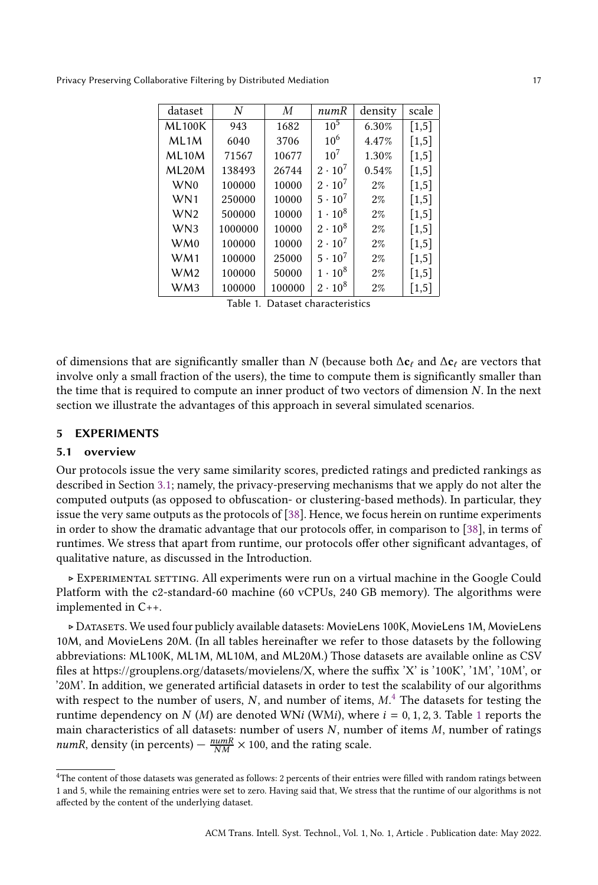<span id="page-16-2"></span>

| dataset           | N       | M      | numR             | density | scale   |
|-------------------|---------|--------|------------------|---------|---------|
| <b>ML100K</b>     | 943     | 1682   | 10 <sup>5</sup>  | 6.30%   | $[1,5]$ |
| ML <sub>1</sub> M | 6040    | 3706   | $10^{6}$         | 4.47%   | $[1,5]$ |
| ML10M             | 71567   | 10677  | 10 <sup>7</sup>  | 1.30%   | $[1,5]$ |
| ML20M             | 138493  | 26744  | $2 \cdot 10^{7}$ | 0.54%   | $[1,5]$ |
| WN <sub>0</sub>   | 100000  | 10000  | $2 \cdot 10^{7}$ | $2\%$   | $[1,5]$ |
| WN <sub>1</sub>   | 250000  | 10000  | $5 \cdot 10^{7}$ | $2\%$   | $[1,5]$ |
| WN <sub>2</sub>   | 500000  | 10000  | $1 \cdot 10^8$   | $2\%$   | $[1,5]$ |
| WN3               | 1000000 | 10000  | $2 \cdot 10^8$   | 2%      | $[1,5]$ |
| WM0               | 100000  | 10000  | $2 \cdot 10^{7}$ | $2\%$   | $[1,5]$ |
| WM1               | 100000  | 25000  | $5 \cdot 10^{7}$ | $2\%$   | $[1,5]$ |
| WM <sub>2</sub>   | 100000  | 50000  | $1 \cdot 10^8$   | 2%      | $[1,5]$ |
| WM3               | 100000  | 100000 | $2 \cdot 10^8$   | $2\%$   | $[1,5]$ |

Table 1. Dataset characteristics

of dimensions that are significantly smaller than N (because both  $\Delta c_\ell$  and  $\Delta c_\ell$  are vectors that involve only a small fraction of the users), the time to compute them is significantly smaller than the time that is required to compute an inner product of two vectors of dimension  $N$ . In the next section we illustrate the advantages of this approach in several simulated scenarios.

### <span id="page-16-0"></span>5 EXPERIMENTS

#### 5.1 overview

Our protocols issue the very same similarity scores, predicted ratings and predicted rankings as described in Section [3.1;](#page-4-1) namely, the privacy-preserving mechanisms that we apply do not alter the computed outputs (as opposed to obfuscation- or clustering-based methods). In particular, they issue the very same outputs as the protocols of [\[38\]](#page-24-0). Hence, we focus herein on runtime experiments in order to show the dramatic advantage that our protocols offer, in comparison to [\[38\]](#page-24-0), in terms of runtimes. We stress that apart from runtime, our protocols offer other significant advantages, of qualitative nature, as discussed in the Introduction.

⊲ Experimental setting. All experiments were run on a virtual machine in the Google Could Platform with the c2-standard-60 machine (60 vCPUs, 240 GB memory). The algorithms were implemented in C++.

⊲ Datasets. We used four publicly available datasets: MovieLens 100K, MovieLens 1M, MovieLens 10M, and MovieLens 20M. (In all tables hereinafter we refer to those datasets by the following abbreviations: ML100K, ML1M, ML10M, and ML20M.) Those datasets are available online as CSV files at https://grouplens.org/datasets/movielens/X, where the suffix 'X' is '100K', '1M', '10M', or '20M'. In addition, we generated artificial datasets in order to test the scalability of our algorithms with respect to the number of users, N, and number of items,  $M<sup>4</sup>$  $M<sup>4</sup>$  $M<sup>4</sup>$ . The datasets for testing the runtime dependency on  $N(M)$  are denoted WNi (WMi), where  $i = 0, 1, 2, 3$  $i = 0, 1, 2, 3$  $i = 0, 1, 2, 3$ . Table 1 reports the main characteristics of all datasets: number of users  $N$ , number of items  $M$ , number of ratings *numR*, density (in percents) –  $\frac{numR}{NM} \times 100$ , and the rating scale.

<span id="page-16-1"></span><sup>4</sup>The content of those datasets was generated as follows: 2 percents of their entries were filled with random ratings between 1 and 5, while the remaining entries were set to zero. Having said that, We stress that the runtime of our algorithms is not affected by the content of the underlying dataset.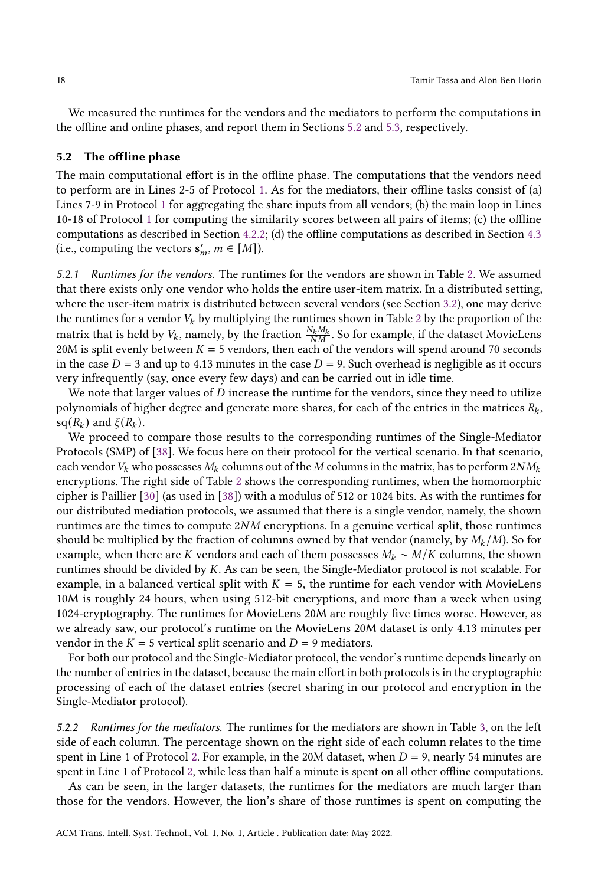We measured the runtimes for the vendors and the mediators to perform the computations in the offline and online phases, and report them in Sections [5.2](#page-17-0) and [5.3,](#page-20-0) respectively.

#### <span id="page-17-0"></span>5.2 The offline phase

The main computational effort is in the offline phase. The computations that the vendors need to perform are in Lines 2-5 of Protocol [1.](#page-10-0) As for the mediators, their offline tasks consist of (a) Lines 7-9 in Protocol [1](#page-10-0) for aggregating the share inputs from all vendors; (b) the main loop in Lines 10-18 of Protocol [1](#page-10-0) for computing the similarity scores between all pairs of items; (c) the offline computations as described in Section [4.2.2;](#page-12-1) (d) the offline computations as described in Section [4.3](#page-12-0) (i.e., computing the vectors  $\mathbf{s}'_m$ ,  $m \in [M]$ ).

<span id="page-17-1"></span>5.2.1 Runtimes for the vendors. The runtimes for the vendors are shown in Table [2.](#page-18-0) We assumed that there exists only one vendor who holds the entire user-item matrix. In a distributed setting, where the user-item matrix is distributed between several vendors (see Section [3.2\)](#page-5-0), one may derive the runtimes for a vendor  $V_k$  by multiplying the runtimes shown in Table [2](#page-18-0) by the proportion of the matrix that is held by  $V_k$ , namely, by the fraction  $\frac{N_k M_k}{NM}$ . So for example, if the dataset MovieLens 20M is split evenly between  $K = 5$  vendors, then each of the vendors will spend around 70 seconds in the case  $D = 3$  and up to 4.13 minutes in the case  $D = 9$ . Such overhead is negligible as it occurs very infrequently (say, once every few days) and can be carried out in idle time.

We note that larger values of  $D$  increase the runtime for the vendors, since they need to utilize polynomials of higher degree and generate more shares, for each of the entries in the matrices  $R_k$ , sq( $R_k$ ) and  $\xi(R_k)$ .

We proceed to compare those results to the corresponding runtimes of the Single-Mediator Protocols (SMP) of [\[38\]](#page-24-0). We focus here on their protocol for the vertical scenario. In that scenario, each vendor  $V_k$  who possesses  $M_k$  columns out of the M columns in the matrix, has to perform  $2NM_k$ encryptions. The right side of Table [2](#page-18-0) shows the corresponding runtimes, when the homomorphic cipher is Paillier [\[30\]](#page-24-24) (as used in [\[38\]](#page-24-0)) with a modulus of 512 or 1024 bits. As with the runtimes for our distributed mediation protocols, we assumed that there is a single vendor, namely, the shown runtimes are the times to compute  $2NM$  encryptions. In a genuine vertical split, those runtimes should be multiplied by the fraction of columns owned by that vendor (namely, by  $M_k/M$ ). So for example, when there are K vendors and each of them possesses  $M_k \sim M/K$  columns, the shown runtimes should be divided by  $K$ . As can be seen, the Single-Mediator protocol is not scalable. For example, in a balanced vertical split with  $K = 5$ , the runtime for each vendor with MovieLens 10M is roughly 24 hours, when using 512-bit encryptions, and more than a week when using 1024-cryptography. The runtimes for MovieLens 20M are roughly five times worse. However, as we already saw, our protocol's runtime on the MovieLens 20M dataset is only 4.13 minutes per vendor in the  $K = 5$  vertical split scenario and  $D = 9$  mediators.

For both our protocol and the Single-Mediator protocol, the vendor's runtime depends linearly on the number of entries in the dataset, because the main effort in both protocols is in the cryptographic processing of each of the dataset entries (secret sharing in our protocol and encryption in the Single-Mediator protocol).

5.2.2 Runtimes for the mediators. The runtimes for the mediators are shown in Table [3,](#page-18-1) on the left side of each column. The percentage shown on the right side of each column relates to the time spent in Line 1 of Protocol [2.](#page-11-1) For example, in the 20M dataset, when  $D = 9$ , nearly 54 minutes are spent in Line 1 of Protocol [2,](#page-11-1) while less than half a minute is spent on all other offline computations.

As can be seen, in the larger datasets, the runtimes for the mediators are much larger than those for the vendors. However, the lion's share of those runtimes is spent on computing the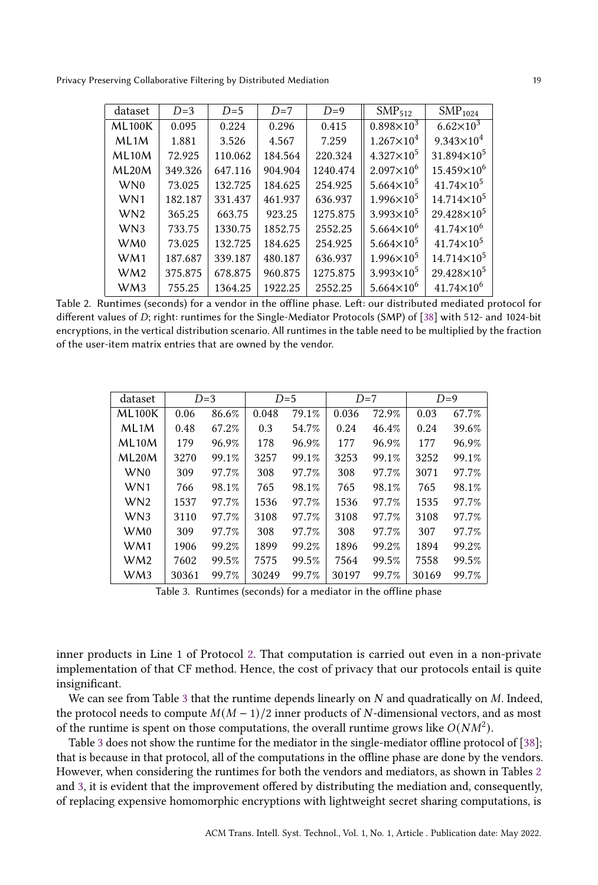<span id="page-18-0"></span>

| dataset         | $D=3$   | $D=5$   | $D=7$   | $D=9$    | SMP <sub>512</sub>  | $SMP_{1024}$           |
|-----------------|---------|---------|---------|----------|---------------------|------------------------|
| <b>ML100K</b>   | 0.095   | 0.224   | 0.296   | 0.415    | $0.898\times10^{3}$ | $6.62\times10^{3}$     |
| ML1M            | 1.881   | 3.526   | 4.567   | 7.259    | $1.267\times10^{4}$ | $9.343\times10^{4}$    |
| ML10M           | 72.925  | 110.062 | 184.564 | 220.324  | $4.327 \times 10^5$ | $31.894\times10^{5}$   |
| ML20M           | 349.326 | 647.116 | 904.904 | 1240.474 | $2.097\times10^{6}$ | $15.459\times10^{6}$   |
| WN <sub>0</sub> | 73.025  | 132.725 | 184.625 | 254.925  | $5.664\times10^{5}$ | $41.74 \times 10^5$    |
| WN <sub>1</sub> | 182.187 | 331.437 | 461.937 | 636.937  | $1.996\times10^{5}$ | $14.714\times10^{5}$   |
| WN <sub>2</sub> | 365.25  | 663.75  | 923.25  | 1275.875 | $3.993 \times 10^5$ | $29.428\times10^{5}$   |
| WN3             | 733.75  | 1330.75 | 1852.75 | 2552.25  | $5.664\times10^{6}$ | $41.74\times10^{6}$    |
| WM <sub>0</sub> | 73.025  | 132.725 | 184.625 | 254.925  | $5.664\times10^{5}$ | $41.74\times10^{5}$    |
| WM1             | 187.687 | 339.187 | 480.187 | 636.937  | $1.996\times10^{5}$ | $14.714\times10^{5}$   |
| WM <sub>2</sub> | 375.875 | 678.875 | 960.875 | 1275.875 | $3.993\times10^{5}$ | 29.428×10 <sup>5</sup> |
| WM3             | 755.25  | 1364.25 | 1922.25 | 2552.25  | $5.664\times10^{6}$ | $41.74\times10^{6}$    |

Table 2. Runtimes (seconds) for a vendor in the offline phase. Left: our distributed mediated protocol for different values of D; right: runtimes for the Single-Mediator Protocols (SMP) of [\[38\]](#page-24-0) with 512- and 1024-bit encryptions, in the vertical distribution scenario. All runtimes in the table need to be multiplied by the fraction of the user-item matrix entries that are owned by the vendor.

<span id="page-18-1"></span>

| dataset         | $D=3$ |       | $D=5$ |       | $D=7$ |       | $D=9$ |       |
|-----------------|-------|-------|-------|-------|-------|-------|-------|-------|
| <b>ML100K</b>   | 0.06  | 86.6% | 0.048 | 79.1% | 0.036 | 72.9% | 0.03  | 67.7% |
| ML1M            | 0.48  | 67.2% | 0.3   | 54.7% | 0.24  | 46.4% | 0.24  | 39.6% |
| ML10M           | 179   | 96.9% | 178   | 96.9% | 177   | 96.9% | 177   | 96.9% |
| ML20M           | 3270  | 99.1% | 3257  | 99.1% | 3253  | 99.1% | 3252  | 99.1% |
| WN <sub>0</sub> | 309   | 97.7% | 308   | 97.7% | 308   | 97.7% | 3071  | 97.7% |
| WN <sub>1</sub> | 766   | 98.1% | 765   | 98.1% | 765   | 98.1% | 765   | 98.1% |
| WN2             | 1537  | 97.7% | 1536  | 97.7% | 1536  | 97.7% | 1535  | 97.7% |
| WN3             | 3110  | 97.7% | 3108  | 97.7% | 3108  | 97.7% | 3108  | 97.7% |
| WM0             | 309   | 97.7% | 308   | 97.7% | 308   | 97.7% | 307   | 97.7% |
| WM1             | 1906  | 99.2% | 1899  | 99.2% | 1896  | 99.2% | 1894  | 99.2% |
| WM2             | 7602  | 99.5% | 7575  | 99.5% | 7564  | 99.5% | 7558  | 99.5% |
| WM3             | 30361 | 99.7% | 30249 | 99.7% | 30197 | 99.7% | 30169 | 99.7% |

Table 3. Runtimes (seconds) for a mediator in the offline phase

inner products in Line 1 of Protocol [2.](#page-11-1) That computation is carried out even in a non-private implementation of that CF method. Hence, the cost of privacy that our protocols entail is quite insignificant.

We can see from Table [3](#page-18-1) that the runtime depends linearly on  $N$  and quadratically on  $M$ . Indeed, the protocol needs to compute  $M(M - 1)/2$  inner products of N-dimensional vectors, and as most of the runtime is spent on those computations, the overall runtime grows like  $O(NM^2)$ .

Table [3](#page-18-1) does not show the runtime for the mediator in the single-mediator offline protocol of [\[38\]](#page-24-0); that is because in that protocol, all of the computations in the offline phase are done by the vendors. However, when considering the runtimes for both the vendors and mediators, as shown in Tables [2](#page-18-0) and [3,](#page-18-1) it is evident that the improvement offered by distributing the mediation and, consequently, of replacing expensive homomorphic encryptions with lightweight secret sharing computations, is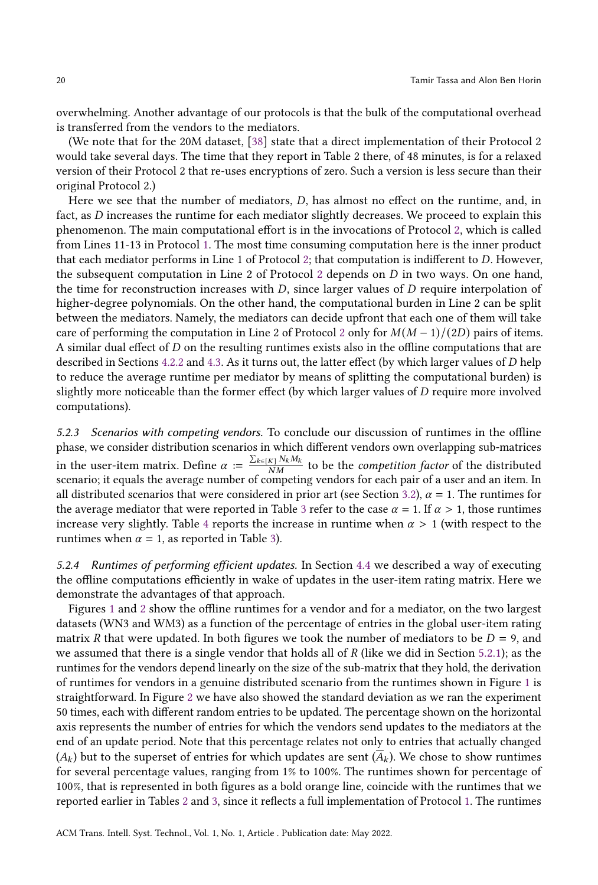overwhelming. Another advantage of our protocols is that the bulk of the computational overhead is transferred from the vendors to the mediators.

(We note that for the 20M dataset, [\[38\]](#page-24-0) state that a direct implementation of their Protocol 2 would take several days. The time that they report in Table 2 there, of 48 minutes, is for a relaxed version of their Protocol 2 that re-uses encryptions of zero. Such a version is less secure than their original Protocol 2.)

Here we see that the number of mediators,  $D$ , has almost no effect on the runtime, and, in fact, as  $D$  increases the runtime for each mediator slightly decreases. We proceed to explain this phenomenon. The main computational effort is in the invocations of Protocol [2,](#page-11-1) which is called from Lines 11-13 in Protocol [1.](#page-10-0) The most time consuming computation here is the inner product that each mediator performs in Line 1 of Protocol [2;](#page-11-1) that computation is indifferent to  $D$ . However, the subsequent computation in Line [2](#page-11-1) of Protocol 2 depends on  $D$  in two ways. On one hand, the time for reconstruction increases with  $D$ , since larger values of  $D$  require interpolation of higher-degree polynomials. On the other hand, the computational burden in Line 2 can be split between the mediators. Namely, the mediators can decide upfront that each one of them will take care of performing the computation in Line [2](#page-11-1) of Protocol 2 only for  $M(M-1)/(2D)$  pairs of items. A similar dual effect of  $D$  on the resulting runtimes exists also in the offline computations that are described in Sections  $4.2.2$  and  $4.3.$  As it turns out, the latter effect (by which larger values of  $D$  help to reduce the average runtime per mediator by means of splitting the computational burden) is slightly more noticeable than the former effect (by which larger values of  $D$  require more involved computations).

5.2.3 Scenarios with competing vendors. To conclude our discussion of runtimes in the offline phase, we consider distribution scenarios in which different vendors own overlapping sub-matrices in the user-item matrix. Define  $\alpha := \frac{\sum_{k \in [K]} N_k M_k}{NM}$  to be the *competition factor* of the distributed scenario; it equals the average number of competing vendors for each pair of a user and an item. In all distributed scenarios that were considered in prior art (see Section [3.2\)](#page-5-0),  $\alpha = 1$ . The runtimes for the average mediator that were reported in Table [3](#page-18-1) refer to the case  $\alpha = 1$ . If  $\alpha > 1$ , those runtimes increase very slightly. Table [4](#page-20-1) reports the increase in runtime when  $\alpha > 1$  (with respect to the runtimes when  $\alpha = 1$ , as reported in Table [3\)](#page-18-1).

5.2.4 Runtimes of performing efficient updates. In Section [4.4](#page-15-0) we described a way of executing the offline computations efficiently in wake of updates in the user-item rating matrix. Here we demonstrate the advantages of that approach.

Figures [1](#page-20-2) and [2](#page-21-0) show the offline runtimes for a vendor and for a mediator, on the two largest datasets (WN3 and WM3) as a function of the percentage of entries in the global user-item rating matrix R that were updated. In both figures we took the number of mediators to be  $D = 9$ , and we assumed that there is a single vendor that holds all of  $R$  (like we did in Section [5.2.1\)](#page-17-1); as the runtimes for the vendors depend linearly on the size of the sub-matrix that they hold, the derivation of runtimes for vendors in a genuine distributed scenario from the runtimes shown in Figure [1](#page-20-2) is straightforward. In Figure [2](#page-21-0) we have also showed the standard deviation as we ran the experiment 50 times, each with different random entries to be updated. The percentage shown on the horizontal axis represents the number of entries for which the vendors send updates to the mediators at the end of an update period. Note that this percentage relates not only to entries that actually changed  $(A_k)$  but to the superset of entries for which updates are sent  $(A_k)$ . We chose to show runtimes for several percentage values, ranging from 1% to 100%. The runtimes shown for percentage of 100%, that is represented in both figures as a bold orange line, coincide with the runtimes that we reported earlier in Tables [2](#page-18-0) and [3,](#page-18-1) since it reflects a full implementation of Protocol [1.](#page-10-0) The runtimes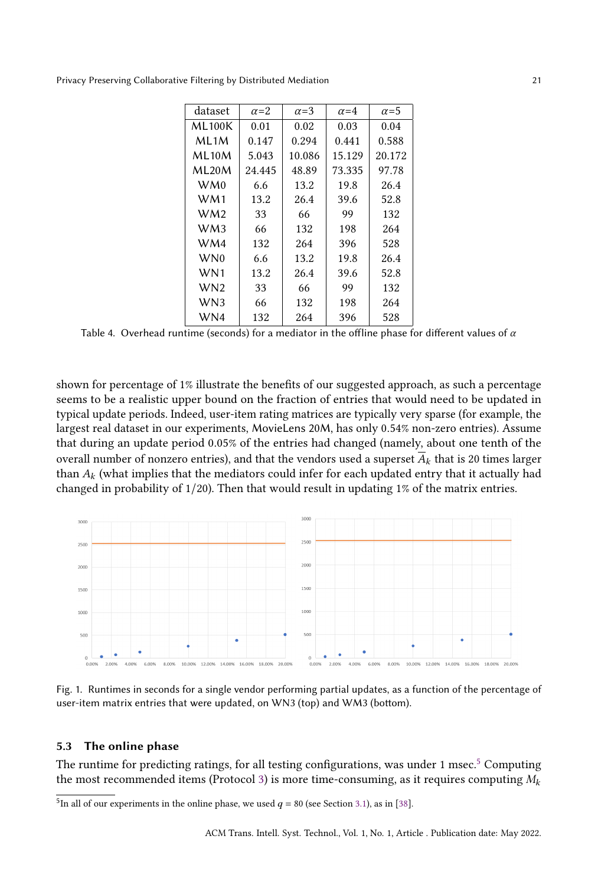<span id="page-20-1"></span>

| dataset         | $\alpha = 2$ | $\alpha = 3$ | $\alpha = 4$ | $\alpha = 5$ |
|-----------------|--------------|--------------|--------------|--------------|
| ML 100K         | 0.01         | 0.02         | 0.03         | 0.04         |
| ML1M            | 0.147        | 0.294        | 0.441        | 0.588        |
| ML 10M          | 5.043        | 10.086       | 15.129       | 20.172       |
| ML 20 M         | 24.445       | 48.89        | 73.335       | 97.78        |
| WM0             | 6.6          | 13.2         | 19.8         | 26.4         |
| WM1             | 13.2         | 26.4         | 39.6         | 52.8         |
| WM2             | 33           | 66           | 99           | 132          |
| WM3             | 66           | 132          | 198          | 264          |
| WM4             | 132          | 264          | 396          | 528          |
| WN0             | 6.6          | 13.2         | 19.8         | 26.4         |
| WN1             | 13.2         | 26.4         | 39.6         | 52.8         |
| WN <sub>2</sub> | 33           | 66           | 99           | 132          |
| WN3             | 66           | 132          | 198          | 264          |
| WN4             | 132          | 264          | 396          | 528          |

Table 4. Overhead runtime (seconds) for a mediator in the offline phase for different values of  $\alpha$ 

shown for percentage of 1% illustrate the benefits of our suggested approach, as such a percentage seems to be a realistic upper bound on the fraction of entries that would need to be updated in typical update periods. Indeed, user-item rating matrices are typically very sparse (for example, the largest real dataset in our experiments, MovieLens 20M, has only 0.54% non-zero entries). Assume that during an update period 0.05% of the entries had changed (namely, about one tenth of the overall number of nonzero entries), and that the vendors used a superset  $A_k$  that is 20 times larger than  $A_k$  (what implies that the mediators could infer for each updated entry that it actually had changed in probability of 1/20). Then that would result in updating 1% of the matrix entries.

<span id="page-20-2"></span>

Fig. 1. Runtimes in seconds for a single vendor performing partial updates, as a function of the percentage of user-item matrix entries that were updated, on WN3 (top) and WM3 (bottom).

#### <span id="page-20-0"></span>5.3 The online phase

The runtime for predicting ratings, for all testing configurations, was under 1 msec.<sup>[5](#page-20-3)</sup> Computing the most recommended items (Protocol [3\)](#page-14-0) is more time-consuming, as it requires computing  $M_k$ 

<span id="page-20-3"></span><sup>5</sup>In all of our experiments in the online phase, we used  $q = 80$  (see Section [3.1\)](#page-4-1), as in [\[38\]](#page-24-0).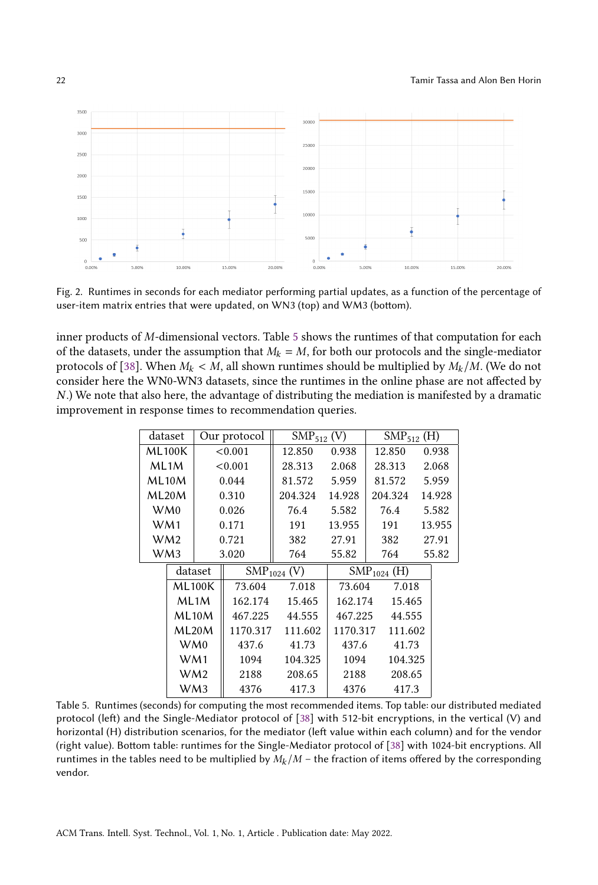#### 22 Tamir Tassa and Alon Ben Horin

<span id="page-21-0"></span>

Fig. 2. Runtimes in seconds for each mediator performing partial updates, as a function of the percentage of user-item matrix entries that were updated, on WN3 (top) and WM3 (bottom).

inner products of  $M$ -dimensional vectors. Table [5](#page-21-1) shows the runtimes of that computation for each of the datasets, under the assumption that  $M_k = M$ , for both our protocols and the single-mediator protocols of [\[38\]](#page-24-0). When  $M_k < M$ , all shown runtimes should be multiplied by  $M_k/M$ . (We do not consider here the WN0-WN3 datasets, since the runtimes in the online phase are not affected by .) We note that also here, the advantage of distributing the mediation is manifested by a dramatic improvement in response times to recommendation queries.

<span id="page-21-1"></span>

|     | dataset         | Our protocol    |          | $SMP_{512} (V)$  |              | $SMP_{512}$ (H)  |        |
|-----|-----------------|-----------------|----------|------------------|--------------|------------------|--------|
|     | <b>ML100K</b>   |                 | < 0.001  | 12.850           | 0.938        | 12.850           | 0.938  |
|     | ML1M            |                 | < 0.001  | 28.313           | 2.068        | 28.313           | 2.068  |
|     | ML10M           |                 | 0.044    | 81.572           | 5.959        | 81.572           | 5.959  |
|     | ML20M           |                 | 0.310    | 204.324          | 14.928       | 204.324          | 14.928 |
| WM0 |                 |                 | 0.026    | 76.4             | 5.582        | 76.4             | 5.582  |
| WM1 |                 |                 | 0.171    | 191              | 13.955       | 191              | 13.955 |
|     | WM <sub>2</sub> | 0.721           |          | 382              | 27.91<br>382 |                  | 27.91  |
|     | WM <sub>3</sub> | 3.020           |          | 764              | 55.82        | 764              | 55.82  |
|     |                 | dataset         |          | $SMP_{1024} (V)$ |              | $SMP_{1024}$ (H) |        |
|     |                 | <b>ML100K</b>   | 73.604   | 7.018            | 73.604       | 7.018            |        |
|     |                 | ML1M            | 162.174  | 15.465           | 162.174      | 15.465           |        |
|     |                 | ML10M           | 467.225  | 44.555           | 467.225      | 44.555           |        |
|     |                 | ML20M           | 1170.317 | 111.602          | 1170.317     | 111.602          |        |
|     |                 | WM0             | 437.6    | 41.73            | 437.6        | 41.73            |        |
|     | WM1             |                 | 1094     | 104.325          | 1094         | 104.325          |        |
|     |                 | WM <sub>2</sub> | 2188     | 208.65           | 2188         | 208.65           |        |
|     |                 | WM3             | 4376     | 417.3            | 4376         | 417.3            |        |

Table 5. Runtimes (seconds) for computing the most recommended items. Top table: our distributed mediated protocol (left) and the Single-Mediator protocol of [\[38\]](#page-24-0) with 512-bit encryptions, in the vertical (V) and horizontal (H) distribution scenarios, for the mediator (left value within each column) and for the vendor (right value). Bottom table: runtimes for the Single-Mediator protocol of [\[38\]](#page-24-0) with 1024-bit encryptions. All runtimes in the tables need to be multiplied by  $M_k/M$  – the fraction of items offered by the corresponding vendor.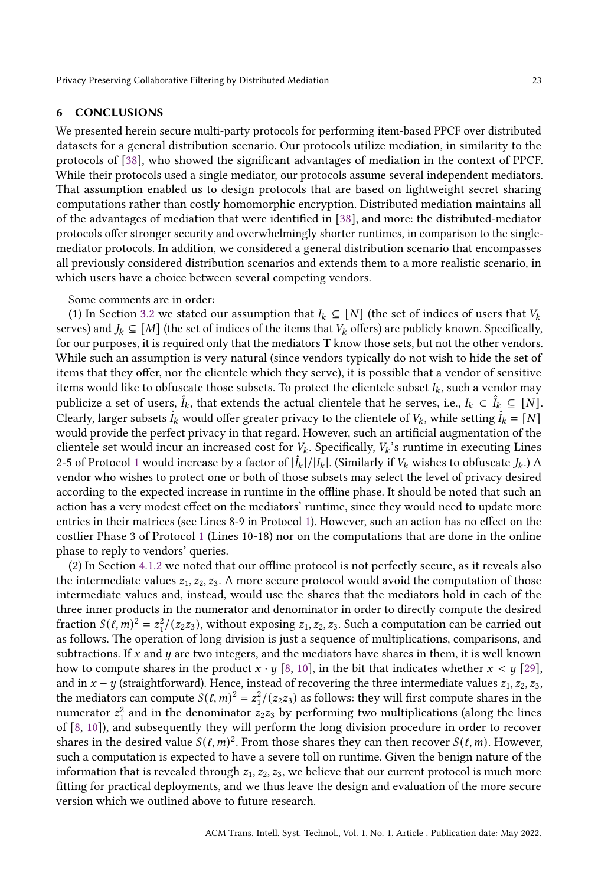### <span id="page-22-0"></span>6 CONCLUSIONS

We presented herein secure multi-party protocols for performing item-based PPCF over distributed datasets for a general distribution scenario. Our protocols utilize mediation, in similarity to the protocols of [\[38\]](#page-24-0), who showed the significant advantages of mediation in the context of PPCF. While their protocols used a single mediator, our protocols assume several independent mediators. That assumption enabled us to design protocols that are based on lightweight secret sharing computations rather than costly homomorphic encryption. Distributed mediation maintains all of the advantages of mediation that were identified in [\[38\]](#page-24-0), and more: the distributed-mediator protocols offer stronger security and overwhelmingly shorter runtimes, in comparison to the singlemediator protocols. In addition, we considered a general distribution scenario that encompasses all previously considered distribution scenarios and extends them to a more realistic scenario, in which users have a choice between several competing vendors.

Some comments are in order:

(1) In Section [3.2](#page-5-0) we stated our assumption that  $I_k \subseteq [N]$  (the set of indices of users that  $V_k$ serves) and  $J_k \subseteq [M]$  (the set of indices of the items that  $V_k$  offers) are publicly known. Specifically, for our purposes, it is required only that the mediators T know those sets, but not the other vendors. While such an assumption is very natural (since vendors typically do not wish to hide the set of items that they offer, nor the clientele which they serve), it is possible that a vendor of sensitive items would like to obfuscate those subsets. To protect the clientele subset  $I_k$ , such a vendor may publicize a set of users,  $\hat{i}_k$ , that extends the actual clientele that he serves, i.e.,  $I_k \subset \hat{I}_k \subseteq [N]$ . Clearly, larger subsets  $I_k$  would offer greater privacy to the clientele of  $V_k$ , while setting  $I_k = [N]$ would provide the perfect privacy in that regard. However, such an artificial augmentation of the clientele set would incur an increased cost for  $V_k$ . Specifically,  $V_k$ 's runtime in executing Lines 2-5 of Protocol [1](#page-10-0) would increase by a factor of  $|\hat{I}_k|/|I_k|$ . (Similarly if  $V_k$  wishes to obfuscate  $J_k$ .) A vendor who wishes to protect one or both of those subsets may select the level of privacy desired according to the expected increase in runtime in the offline phase. It should be noted that such an action has a very modest effect on the mediators' runtime, since they would need to update more entries in their matrices (see Lines 8-9 in Protocol [1\)](#page-10-0). However, such an action has no effect on the costlier Phase 3 of Protocol [1](#page-10-0) (Lines 10-18) nor on the computations that are done in the online phase to reply to vendors' queries.

(2) In Section [4.1.2](#page-11-4) we noted that our offline protocol is not perfectly secure, as it reveals also the intermediate values  $z_1, z_2, z_3$ . A more secure protocol would avoid the computation of those intermediate values and, instead, would use the shares that the mediators hold in each of the three inner products in the numerator and denominator in order to directly compute the desired fraction  $S(\ell,m)^2 = z_1^2/(z_2z_3)$ , without exposing  $z_1, z_2, z_3$ . Such a computation can be carried out as follows. The operation of long division is just a sequence of multiplications, comparisons, and subtractions. If  $x$  and  $y$  are two integers, and the mediators have shares in them, it is well known how to compute shares in the product  $x \cdot y$  [\[8,](#page-23-12) [10\]](#page-23-22), in the bit that indicates whether  $x \lt y$  [\[29\]](#page-24-23), and in  $x - y$  (straightforward). Hence, instead of recovering the three intermediate values  $z_1, z_2, z_3$ , the mediators can compute  $S(\ell,m)^2 = z_1^2/(z_2 z_3)$  as follows: they will first compute shares in the numerator  $z_1^2$  and in the denominator  $z_2z_3$  by performing two multiplications (along the lines of [\[8,](#page-23-12) [10\]](#page-23-22)), and subsequently they will perform the long division procedure in order to recover shares in the desired value  $S(\ell,m)^2$ . From those shares they can then recover  $S(\ell,m)$ . However, such a computation is expected to have a severe toll on runtime. Given the benign nature of the information that is revealed through  $z_1, z_2, z_3$ , we believe that our current protocol is much more fitting for practical deployments, and we thus leave the design and evaluation of the more secure version which we outlined above to future research.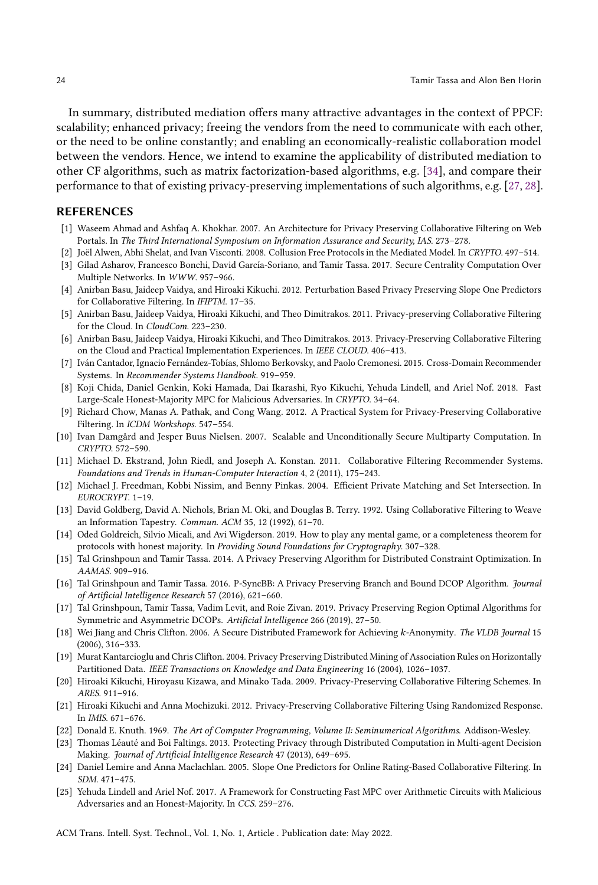In summary, distributed mediation offers many attractive advantages in the context of PPCF: scalability; enhanced privacy; freeing the vendors from the need to communicate with each other, or the need to be online constantly; and enabling an economically-realistic collaboration model between the vendors. Hence, we intend to examine the applicability of distributed mediation to other CF algorithms, such as matrix factorization-based algorithms, e.g. [\[34\]](#page-24-25), and compare their performance to that of existing privacy-preserving implementations of such algorithms, e.g. [\[27,](#page-24-26) [28\]](#page-24-27).

### REFERENCES

- <span id="page-23-10"></span>[1] Waseem Ahmad and Ashfaq A. Khokhar. 2007. An Architecture for Privacy Preserving Collaborative Filtering on Web Portals. In The Third International Symposium on Information Assurance and Security, IAS. 273–278.
- <span id="page-23-2"></span>[2] Joël Alwen, Abhi Shelat, and Ivan Visconti. 2008. Collusion Free Protocols in the Mediated Model. In CRYPTO. 497–514.
- <span id="page-23-20"></span>[3] Gilad Asharov, Francesco Bonchi, David García-Soriano, and Tamir Tassa. 2017. Secure Centrality Computation Over Multiple Networks. In WWW. 957–966.
- <span id="page-23-6"></span>[4] Anirban Basu, Jaideep Vaidya, and Hiroaki Kikuchi. 2012. Perturbation Based Privacy Preserving Slope One Predictors for Collaborative Filtering. In IFIPTM. 17–35.
- <span id="page-23-8"></span>[5] Anirban Basu, Jaideep Vaidya, Hiroaki Kikuchi, and Theo Dimitrakos. 2011. Privacy-preserving Collaborative Filtering for the Cloud. In CloudCom. 223–230.
- <span id="page-23-9"></span>[6] Anirban Basu, Jaideep Vaidya, Hiroaki Kikuchi, and Theo Dimitrakos. 2013. Privacy-Preserving Collaborative Filtering on the Cloud and Practical Implementation Experiences. In IEEE CLOUD. 406–413.
- <span id="page-23-1"></span>[7] Iván Cantador, Ignacio Fernández-Tobías, Shlomo Berkovsky, and Paolo Cremonesi. 2015. Cross-Domain Recommender Systems. In Recommender Systems Handbook. 919–959.
- <span id="page-23-12"></span>[8] Koji Chida, Daniel Genkin, Koki Hamada, Dai Ikarashi, Ryo Kikuchi, Yehuda Lindell, and Ariel Nof. 2018. Fast Large-Scale Honest-Majority MPC for Malicious Adversaries. In CRYPTO. 34–64.
- <span id="page-23-4"></span>[9] Richard Chow, Manas A. Pathak, and Cong Wang. 2012. A Practical System for Privacy-Preserving Collaborative Filtering. In ICDM Workshops. 547–554.
- <span id="page-23-22"></span>[10] Ivan Damgård and Jesper Buus Nielsen. 2007. Scalable and Unconditionally Secure Multiparty Computation. In CRYPTO. 572–590.
- <span id="page-23-11"></span>[11] Michael D. Ekstrand, John Riedl, and Joseph A. Konstan. 2011. Collaborative Filtering Recommender Systems. Foundations and Trends in Human-Computer Interaction 4, 2 (2011), 175–243.
- <span id="page-23-23"></span>[12] Michael J. Freedman, Kobbi Nissim, and Benny Pinkas. 2004. Efficient Private Matching and Set Intersection. In EUROCRYPT. 1–19.
- <span id="page-23-0"></span>[13] David Goldberg, David A. Nichols, Brian M. Oki, and Douglas B. Terry. 1992. Using Collaborative Filtering to Weave an Information Tapestry. Commun. ACM 35, 12 (1992), 61–70.
- <span id="page-23-13"></span>[14] Oded Goldreich, Silvio Micali, and Avi Wigderson. 2019. How to play any mental game, or a completeness theorem for protocols with honest majority. In Providing Sound Foundations for Cryptography. 307–328.
- <span id="page-23-17"></span>[15] Tal Grinshpoun and Tamir Tassa. 2014. A Privacy Preserving Algorithm for Distributed Constraint Optimization. In AAMAS. 909–916.
- [16] Tal Grinshpoun and Tamir Tassa. 2016. P-SyncBB: A Privacy Preserving Branch and Bound DCOP Algorithm. Journal of Artificial Intelligence Research 57 (2016), 621–660.
- <span id="page-23-18"></span>[17] Tal Grinshpoun, Tamir Tassa, Vadim Levit, and Roie Zivan. 2019. Privacy Preserving Region Optimal Algorithms for Symmetric and Asymmetric DCOPs. Artificial Intelligence 266 (2019), 27–50.
- <span id="page-23-15"></span>[18] Wei Jiang and Chris Clifton. 2006. A Secure Distributed Framework for Achieving k-Anonymity. The VLDB Journal 15 (2006), 316–333.
- <span id="page-23-16"></span>[19] Murat Kantarcioglu and Chris Clifton. 2004. Privacy Preserving Distributed Mining of Association Rules on Horizontally Partitioned Data. IEEE Transactions on Knowledge and Data Engineering 16 (2004), 1026–1037.
- <span id="page-23-5"></span>[20] Hiroaki Kikuchi, Hiroyasu Kizawa, and Minako Tada. 2009. Privacy-Preserving Collaborative Filtering Schemes. In ARES. 911–916.
- <span id="page-23-3"></span>[21] Hiroaki Kikuchi and Anna Mochizuki. 2012. Privacy-Preserving Collaborative Filtering Using Randomized Response. In IMIS. 671–676.
- <span id="page-23-21"></span>[22] Donald E. Knuth. 1969. The Art of Computer Programming, Volume II: Seminumerical Algorithms. Addison-Wesley.
- <span id="page-23-19"></span>[23] Thomas Léauté and Boi Faltings. 2013. Protecting Privacy through Distributed Computation in Multi-agent Decision Making. Journal of Artificial Intelligence Research 47 (2013), 649–695.
- <span id="page-23-7"></span>[24] Daniel Lemire and Anna Maclachlan. 2005. Slope One Predictors for Online Rating-Based Collaborative Filtering. In SDM. 471–475.
- <span id="page-23-14"></span>[25] Yehuda Lindell and Ariel Nof. 2017. A Framework for Constructing Fast MPC over Arithmetic Circuits with Malicious Adversaries and an Honest-Majority. In CCS. 259–276.

ACM Trans. Intell. Syst. Technol., Vol. 1, No. 1, Article . Publication date: May 2022.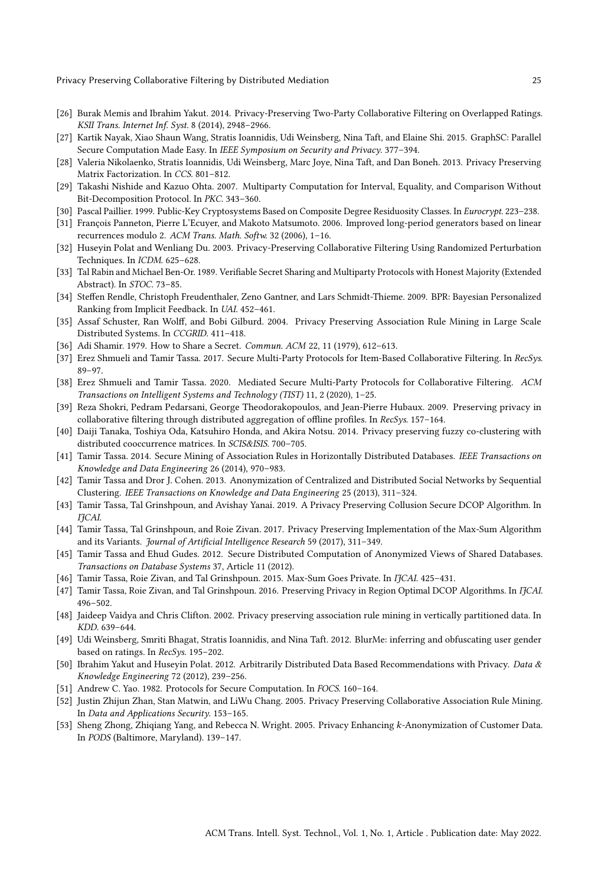- <span id="page-24-6"></span>[26] Burak Memis and Ibrahim Yakut. 2014. Privacy-Preserving Two-Party Collaborative Filtering on Overlapped Ratings. KSII Trans. Internet Inf. Syst. 8 (2014), 2948–2966.
- <span id="page-24-26"></span>[27] Kartik Nayak, Xiao Shaun Wang, Stratis Ioannidis, Udi Weinsberg, Nina Taft, and Elaine Shi. 2015. GraphSC: Parallel Secure Computation Made Easy. In IEEE Symposium on Security and Privacy. 377-394.
- <span id="page-24-27"></span>[28] Valeria Nikolaenko, Stratis Ioannidis, Udi Weinsberg, Marc Joye, Nina Taft, and Dan Boneh. 2013. Privacy Preserving Matrix Factorization. In CCS. 801–812.
- <span id="page-24-23"></span>[29] Takashi Nishide and Kazuo Ohta. 2007. Multiparty Computation for Interval, Equality, and Comparison Without Bit-Decomposition Protocol. In PKC. 343–360.
- <span id="page-24-24"></span>[30] Pascal Paillier. 1999. Public-Key Cryptosystems Based on Composite Degree Residuosity Classes. In Eurocrypt. 223–238.
- <span id="page-24-22"></span>[31] François Panneton, Pierre L'Ecuyer, and Makoto Matsumoto. 2006. Improved long-period generators based on linear recurrences modulo 2. ACM Trans. Math. Softw. 32 (2006), 1–16.
- <span id="page-24-3"></span>[32] Huseyin Polat and Wenliang Du. 2003. Privacy-Preserving Collaborative Filtering Using Randomized Perturbation Techniques. In ICDM. 625–628.
- <span id="page-24-9"></span>[33] Tal Rabin and Michael Ben-Or. 1989. Verifiable Secret Sharing and Multiparty Protocols with Honest Majority (Extended Abstract). In STOC. 73–85.
- <span id="page-24-25"></span>[34] Steffen Rendle, Christoph Freudenthaler, Zeno Gantner, and Lars Schmidt-Thieme. 2009. BPR: Bayesian Personalized Ranking from Implicit Feedback. In UAI. 452–461.
- <span id="page-24-14"></span>[35] Assaf Schuster, Ran Wolff, and Bobi Gilburd. 2004. Privacy Preserving Association Rule Mining in Large Scale Distributed Systems. In CCGRID. 411–418.
- <span id="page-24-10"></span>[36] Adi Shamir. 1979. How to Share a Secret. Commun. ACM 22, 11 (1979), 612–613.
- <span id="page-24-2"></span>[37] Erez Shmueli and Tamir Tassa. 2017. Secure Multi-Party Protocols for Item-Based Collaborative Filtering. In RecSys. 89–97.
- <span id="page-24-0"></span>[38] Erez Shmueli and Tamir Tassa. 2020. Mediated Secure Multi-Party Protocols for Collaborative Filtering. ACM Transactions on Intelligent Systems and Technology (TIST) 11, 2 (2020), 1–25.
- <span id="page-24-8"></span>[39] Reza Shokri, Pedram Pedarsani, George Theodorakopoulos, and Jean-Pierre Hubaux. 2009. Preserving privacy in collaborative filtering through distributed aggregation of offline profiles. In RecSys. 157–164.
- <span id="page-24-7"></span>[40] Daiji Tanaka, Toshiya Oda, Katsuhiro Honda, and Akira Notsu. 2014. Privacy preserving fuzzy co-clustering with distributed cooccurrence matrices. In SCIS&ISIS. 700–705.
- <span id="page-24-15"></span>[41] Tamir Tassa. 2014. Secure Mining of Association Rules in Horizontally Distributed Databases. IEEE Transactions on Knowledge and Data Engineering 26 (2014), 970–983.
- <span id="page-24-11"></span>[42] Tamir Tassa and Dror J. Cohen. 2013. Anonymization of Centralized and Distributed Social Networks by Sequential Clustering. IEEE Transactions on Knowledge and Data Engineering 25 (2013), 311–324.
- <span id="page-24-18"></span>[43] Tamir Tassa, Tal Grinshpoun, and Avishay Yanai. 2019. A Privacy Preserving Collusion Secure DCOP Algorithm. In IJCAI.
- <span id="page-24-19"></span>[44] Tamir Tassa, Tal Grinshpoun, and Roie Zivan. 2017. Privacy Preserving Implementation of the Max-Sum Algorithm and its Variants. Journal of Artificial Intelligence Research 59 (2017), 311–349.
- <span id="page-24-12"></span>[45] Tamir Tassa and Ehud Gudes. 2012. Secure Distributed Computation of Anonymized Views of Shared Databases. Transactions on Database Systems 37, Article 11 (2012).
- <span id="page-24-20"></span>[46] Tamir Tassa, Roie Zivan, and Tal Grinshpoun. 2015. Max-Sum Goes Private. In IJCAI. 425–431.
- <span id="page-24-21"></span>[47] Tamir Tassa, Roie Zivan, and Tal Grinshpoun. 2016. Preserving Privacy in Region Optimal DCOP Algorithms. In IJCAI. 496–502.
- <span id="page-24-16"></span>[48] Jaideep Vaidya and Chris Clifton. 2002. Privacy preserving association rule mining in vertically partitioned data. In KDD. 639–644.
- <span id="page-24-5"></span>[49] Udi Weinsberg, Smriti Bhagat, Stratis Ioannidis, and Nina Taft. 2012. BlurMe: inferring and obfuscating user gender based on ratings. In RecSys. 195–202.
- <span id="page-24-4"></span>[50] Ibrahim Yakut and Huseyin Polat. 2012. Arbitrarily Distributed Data Based Recommendations with Privacy. Data & Knowledge Engineering 72 (2012), 239–256.
- <span id="page-24-1"></span>[51] Andrew C. Yao. 1982. Protocols for Secure Computation. In FOCS. 160–164.
- <span id="page-24-17"></span>[52] Justin Zhijun Zhan, Stan Matwin, and LiWu Chang. 2005. Privacy Preserving Collaborative Association Rule Mining. In Data and Applications Security. 153–165.
- <span id="page-24-13"></span>[53] Sheng Zhong, Zhiqiang Yang, and Rebecca N. Wright. 2005. Privacy Enhancing k-Anonymization of Customer Data. In PODS (Baltimore, Maryland). 139–147.